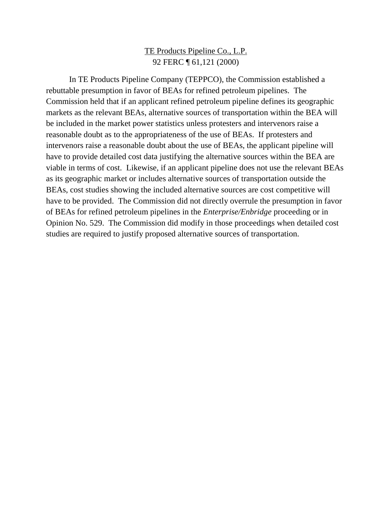# TE Products Pipeline Co., L.P. 92 FERC ¶ 61,121 (2000)

In TE Products Pipeline Company (TEPPCO), the Commission established a rebuttable presumption in favor of BEAs for refined petroleum pipelines. The Commission held that if an applicant refined petroleum pipeline defines its geographic markets as the relevant BEAs, alternative sources of transportation within the BEA will be included in the market power statistics unless protesters and intervenors raise a reasonable doubt as to the appropriateness of the use of BEAs. If protesters and intervenors raise a reasonable doubt about the use of BEAs, the applicant pipeline will have to provide detailed cost data justifying the alternative sources within the BEA are viable in terms of cost. Likewise, if an applicant pipeline does not use the relevant BEAs as its geographic market or includes alternative sources of transportation outside the BEAs, cost studies showing the included alternative sources are cost competitive will have to be provided. The Commission did not directly overrule the presumption in favor of BEAs for refined petroleum pipelines in the *Enterprise/Enbridge* proceeding or in Opinion No. 529. The Commission did modify in those proceedings when detailed cost studies are required to justify proposed alternative sources of transportation.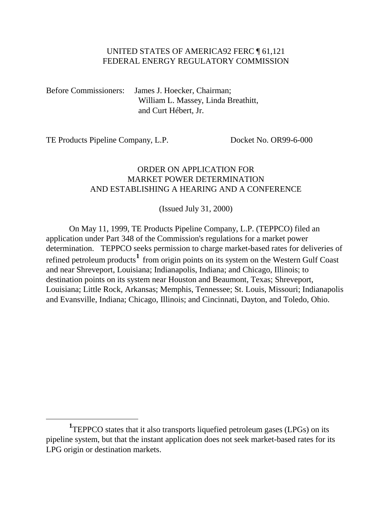### UNITED STATES OF AMERICA92 FERC ¶ 61,121 FEDERAL ENERGY REGULATORY COMMISSION

Before Commissioners: James J. Hoecker, Chairman; William L. Massey, Linda Breathitt, and Curt Hébert, Jr.

TE Products Pipeline Company, L.P. Docket No. OR99-6-000

 $\overline{a}$ 

# ORDER ON APPLICATION FOR MARKET POWER DETERMINATION AND ESTABLISHING A HEARING AND A CONFERENCE

(Issued July 31, 2000)

On May 11, 1999, TE Products Pipeline Company, L.P. (TEPPCO) filed an application under Part 348 of the Commission's regulations for a market power determination. TEPPCO seeks permission to charge market-based rates for deliveries of refined petroleum products**[1](#page-1-0)** from origin points on its system on the Western Gulf Coast and near Shreveport, Louisiana; Indianapolis, Indiana; and Chicago, Illinois; to destination points on its system near Houston and Beaumont, Texas; Shreveport, Louisiana; Little Rock, Arkansas; Memphis, Tennessee; St. Louis, Missouri; Indianapolis and Evansville, Indiana; Chicago, Illinois; and Cincinnati, Dayton, and Toledo, Ohio.

<span id="page-1-0"></span><sup>&</sup>lt;sup>1</sup>TEPPCO states that it also transports liquefied petroleum gases (LPGs) on its pipeline system, but that the instant application does not seek market-based rates for its LPG origin or destination markets.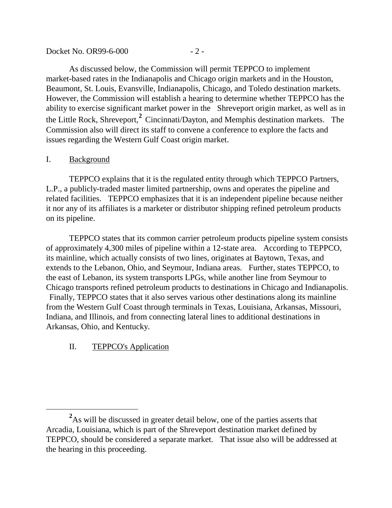| Docket No. OR99-6-000 | $-$ / $-$ |
|-----------------------|-----------|
|-----------------------|-----------|

As discussed below, the Commission will permit TEPPCO to implement market-based rates in the Indianapolis and Chicago origin markets and in the Houston, Beaumont, St. Louis, Evansville, Indianapolis, Chicago, and Toledo destination markets. However, the Commission will establish a hearing to determine whether TEPPCO has the ability to exercise significant market power in the Shreveport origin market, as well as in the Little Rock, Shreveport,**[2](#page-2-0)** Cincinnati/Dayton, and Memphis destination markets. The Commission also will direct its staff to convene a conference to explore the facts and issues regarding the Western Gulf Coast origin market.

#### I. Background

 $\overline{a}$ 

TEPPCO explains that it is the regulated entity through which TEPPCO Partners, L.P., a publicly-traded master limited partnership, owns and operates the pipeline and related facilities. TEPPCO emphasizes that it is an independent pipeline because neither it nor any of its affiliates is a marketer or distributor shipping refined petroleum products on its pipeline.

TEPPCO states that its common carrier petroleum products pipeline system consists of approximately 4,300 miles of pipeline within a 12-state area. According to TEPPCO, its mainline, which actually consists of two lines, originates at Baytown, Texas, and extends to the Lebanon, Ohio, and Seymour, Indiana areas. Further, states TEPPCO, to the east of Lebanon, its system transports LPGs, while another line from Seymour to Chicago transports refined petroleum products to destinations in Chicago and Indianapolis. Finally, TEPPCO states that it also serves various other destinations along its mainline from the Western Gulf Coast through terminals in Texas, Louisiana, Arkansas, Missouri, Indiana, and Illinois, and from connecting lateral lines to additional destinations in Arkansas, Ohio, and Kentucky.

# II. TEPPCO's Application

<span id="page-2-0"></span><sup>&</sup>lt;sup>2</sup>As will be discussed in greater detail below, one of the parties asserts that Arcadia, Louisiana, which is part of the Shreveport destination market defined by TEPPCO, should be considered a separate market. That issue also will be addressed at the hearing in this proceeding.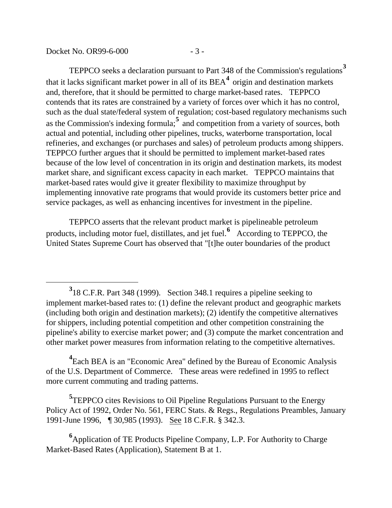Docket No. OR99-6-000 - 3 -

 $\overline{a}$ 

TEPPCO seeks a declaration pursuant to Part 348 of the Commission's regulations**[3](#page-3-0)** that it lacks significant market power in all of its BEA**[4](#page-3-1)** origin and destination markets and, therefore, that it should be permitted to charge market-based rates. TEPPCO contends that its rates are constrained by a variety of forces over which it has no control, such as the dual state/federal system of regulation; cost-based regulatory mechanisms such as the Commission's indexing formula;**[5](#page-3-2)** and competition from a variety of sources, both actual and potential, including other pipelines, trucks, waterborne transportation, local refineries, and exchanges (or purchases and sales) of petroleum products among shippers. TEPPCO further argues that it should be permitted to implement market-based rates because of the low level of concentration in its origin and destination markets, its modest market share, and significant excess capacity in each market. TEPPCO maintains that market-based rates would give it greater flexibility to maximize throughput by implementing innovative rate programs that would provide its customers better price and service packages, as well as enhancing incentives for investment in the pipeline.

TEPPCO asserts that the relevant product market is pipelineable petroleum products, including motor fuel, distillates, and jet fuel.**[6](#page-3-3)** According to TEPPCO, the United States Supreme Court has observed that "[t]he outer boundaries of the product

<span id="page-3-1"></span>**4** Each BEA is an "Economic Area" defined by the Bureau of Economic Analysis of the U.S. Department of Commerce. These areas were redefined in 1995 to reflect more current commuting and trading patterns.

<span id="page-3-2"></span>**5** TEPPCO cites Revisions to Oil Pipeline Regulations Pursuant to the Energy Policy Act of 1992, Order No. 561, FERC Stats. & Regs., Regulations Preambles, January 1991-June 1996, ¶ 30,985 (1993). See 18 C.F.R. § 342.3.

<span id="page-3-3"></span>**6** Application of TE Products Pipeline Company, L.P. For Authority to Charge Market-Based Rates (Application), Statement B at 1.

<span id="page-3-0"></span>**<sup>3</sup>** 18 C.F.R. Part 348 (1999). Section 348.1 requires a pipeline seeking to implement market-based rates to: (1) define the relevant product and geographic markets (including both origin and destination markets); (2) identify the competitive alternatives for shippers, including potential competition and other competition constraining the pipeline's ability to exercise market power; and (3) compute the market concentration and other market power measures from information relating to the competitive alternatives.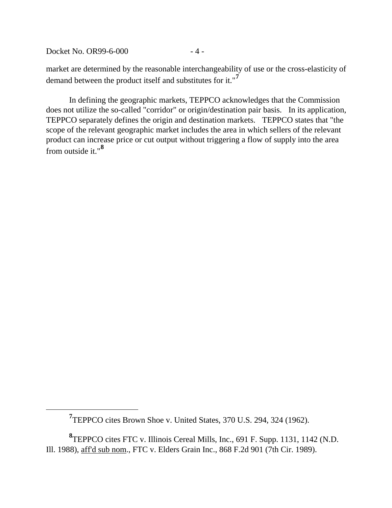Docket No. OR99-6-000 - 4 -

<span id="page-4-0"></span> $\overline{a}$ 

market are determined by the reasonable interchangeability of use or the cross-elasticity of demand between the product itself and substitutes for it."**[7](#page-4-0)**

In defining the geographic markets, TEPPCO acknowledges that the Commission does not utilize the so-called "corridor" or origin/destination pair basis. In its application, TEPPCO separately defines the origin and destination markets. TEPPCO states that "the scope of the relevant geographic market includes the area in which sellers of the relevant product can increase price or cut output without triggering a flow of supply into the area from outside it."**[8](#page-4-1)**

<sup>&</sup>lt;sup>7</sup> TEPPCO cites Brown Shoe v. United States, 370 U.S. 294, 324 (1962).

<span id="page-4-1"></span>**<sup>8</sup>** TEPPCO cites FTC v. Illinois Cereal Mills, Inc., 691 F. Supp. 1131, 1142 (N.D. Ill. 1988), aff'd sub nom., FTC v. Elders Grain Inc., 868 F.2d 901 (7th Cir. 1989).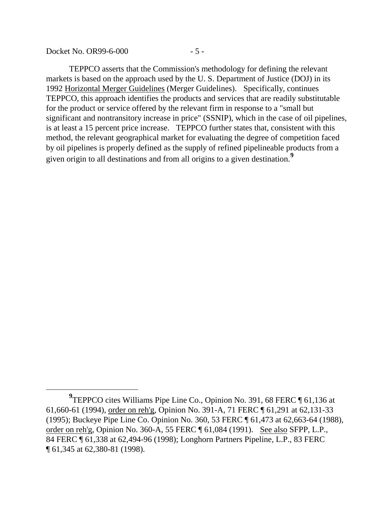Docket No. OR99-6-000 - 5 -

 $\overline{a}$ 

TEPPCO asserts that the Commission's methodology for defining the relevant markets is based on the approach used by the U. S. Department of Justice (DOJ) in its 1992 Horizontal Merger Guidelines (Merger Guidelines). Specifically, continues TEPPCO, this approach identifies the products and services that are readily substitutable for the product or service offered by the relevant firm in response to a "small but significant and nontransitory increase in price" (SSNIP), which in the case of oil pipelines, is at least a 15 percent price increase. TEPPCO further states that, consistent with this method, the relevant geographical market for evaluating the degree of competition faced by oil pipelines is properly defined as the supply of refined pipelineable products from a given origin to all destinations and from all origins to a given destination.**[9](#page-5-0)**

<span id="page-5-0"></span>**<sup>9</sup>** TEPPCO cites Williams Pipe Line Co., Opinion No. 391, 68 FERC ¶ 61,136 at 61,660-61 (1994), order on reh'g, Opinion No. 391-A, 71 FERC ¶ 61,291 at 62,131-33 (1995); Buckeye Pipe Line Co. Opinion No. 360, 53 FERC ¶ 61,473 at 62,663-64 (1988), order on reh'g, Opinion No. 360-A, 55 FERC ¶ 61,084 (1991). See also SFPP, L.P., 84 FERC ¶ 61,338 at 62,494-96 (1998); Longhorn Partners Pipeline, L.P., 83 FERC ¶ 61,345 at 62,380-81 (1998).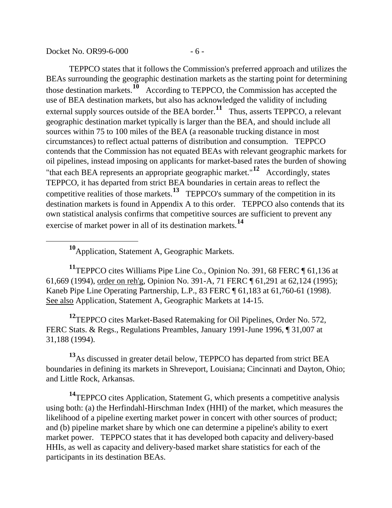Docket No.  $OR99-6-000$   $-6-$ 

TEPPCO states that it follows the Commission's preferred approach and utilizes the BEAs surrounding the geographic destination markets as the starting point for determining those destination markets.**[10](#page-6-0)** According to TEPPCO, the Commission has accepted the use of BEA destination markets, but also has acknowledged the validity of including external supply sources outside of the BEA border.<sup>[11](#page-6-1)</sup> Thus, asserts TEPPCO, a relevant geographic destination market typically is larger than the BEA, and should include all sources within 75 to 100 miles of the BEA (a reasonable trucking distance in most circumstances) to reflect actual patterns of distribution and consumption. TEPPCO contends that the Commission has not equated BEAs with relevant geographic markets for oil pipelines, instead imposing on applicants for market-based rates the burden of showing "that each BEA represents an appropriate geographic market."**[12](#page-6-2)** Accordingly, states TEPPCO, it has departed from strict BEA boundaries in certain areas to reflect the competitive realities of those markets.**[13](#page-6-3)** TEPPCO's summary of the competition in its destination markets is found in Appendix A to this order. TEPPCO also contends that its own statistical analysis confirms that competitive sources are sufficient to prevent any exercise of market power in all of its destination markets.**[14](#page-6-4)**

**<sup>10</sup>**Application, Statement A, Geographic Markets.

<span id="page-6-0"></span> $\overline{a}$ 

<span id="page-6-1"></span>**<sup>11</sup>**TEPPCO cites Williams Pipe Line Co., Opinion No. 391, 68 FERC ¶ 61,136 at 61,669 (1994), order on reh'g, Opinion No. 391-A, 71 FERC ¶ 61,291 at 62,124 (1995); Kaneb Pipe Line Operating Partnership, L.P., 83 FERC ¶ 61,183 at 61,760-61 (1998). See also Application, Statement A, Geographic Markets at 14-15.

<span id="page-6-2"></span>**<sup>12</sup>**TEPPCO cites Market-Based Ratemaking for Oil Pipelines, Order No. 572, FERC Stats. & Regs., Regulations Preambles, January 1991-June 1996, ¶ 31,007 at 31,188 (1994).

<span id="page-6-3"></span>**<sup>13</sup>**As discussed in greater detail below, TEPPCO has departed from strict BEA boundaries in defining its markets in Shreveport, Louisiana; Cincinnati and Dayton, Ohio; and Little Rock, Arkansas.

<span id="page-6-4"></span>**<sup>14</sup>**TEPPCO cites Application, Statement G, which presents a competitive analysis using both: (a) the Herfindahl-Hirschman Index (HHI) of the market, which measures the likelihood of a pipeline exerting market power in concert with other sources of product; and (b) pipeline market share by which one can determine a pipeline's ability to exert market power. TEPPCO states that it has developed both capacity and delivery-based HHIs, as well as capacity and delivery-based market share statistics for each of the participants in its destination BEAs.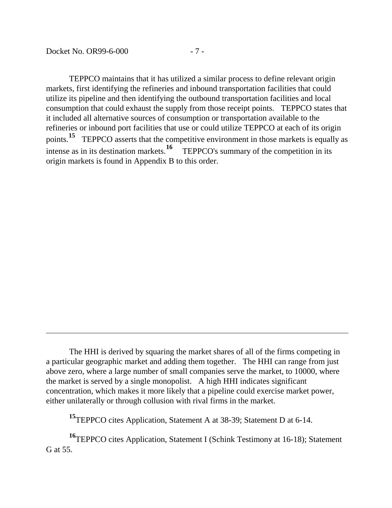$\overline{a}$ 

TEPPCO maintains that it has utilized a similar process to define relevant origin markets, first identifying the refineries and inbound transportation facilities that could utilize its pipeline and then identifying the outbound transportation facilities and local consumption that could exhaust the supply from those receipt points. TEPPCO states that it included all alternative sources of consumption or transportation available to the refineries or inbound port facilities that use or could utilize TEPPCO at each of its origin points.<sup>[15](#page-7-0)</sup> TEPPCO asserts that the competitive environment in those markets is equally as intense as in its destination markets.<sup>16</sup> TEPPCO's summary of the competition in its TEPPCO's summary of the competition in its. origin markets is found in Appendix B to this order.

**<sup>15</sup>**TEPPCO cites Application, Statement A at 38-39; Statement D at 6-14.

<span id="page-7-1"></span><span id="page-7-0"></span>**<sup>16</sup>**TEPPCO cites Application, Statement I (Schink Testimony at 16-18); Statement G at 55.

The HHI is derived by squaring the market shares of all of the firms competing in a particular geographic market and adding them together. The HHI can range from just above zero, where a large number of small companies serve the market, to 10000, where the market is served by a single monopolist. A high HHI indicates significant concentration, which makes it more likely that a pipeline could exercise market power, either unilaterally or through collusion with rival firms in the market.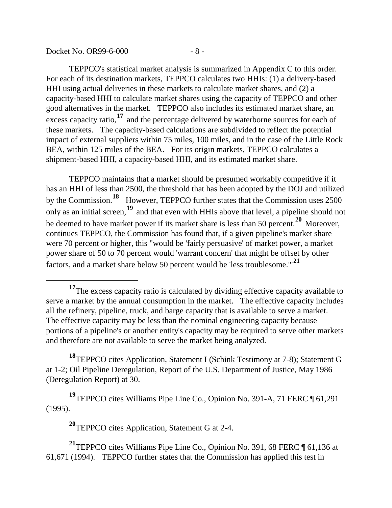$\overline{a}$ 

TEPPCO's statistical market analysis is summarized in Appendix C to this order. For each of its destination markets, TEPPCO calculates two HHIs: (1) a delivery-based HHI using actual deliveries in these markets to calculate market shares, and (2) a capacity-based HHI to calculate market shares using the capacity of TEPPCO and other good alternatives in the market. TEPPCO also includes its estimated market share, an excess capacity ratio,**[17](#page-8-0)** and the percentage delivered by waterborne sources for each of these markets. The capacity-based calculations are subdivided to reflect the potential impact of external suppliers within 75 miles, 100 miles, and in the case of the Little Rock BEA, within 125 miles of the BEA. For its origin markets, TEPPCO calculates a shipment-based HHI, a capacity-based HHI, and its estimated market share.

TEPPCO maintains that a market should be presumed workably competitive if it has an HHI of less than 2500, the threshold that has been adopted by the DOJ and utilized by the Commission.**[18](#page-8-1)** However, TEPPCO further states that the Commission uses 2500 only as an initial screen,**[19](#page-8-2)** and that even with HHIs above that level, a pipeline should not be deemed to have market power if its market share is less than 50 percent.**[20](#page-8-3)** Moreover, continues TEPPCO, the Commission has found that, if a given pipeline's market share were 70 percent or higher, this "would be 'fairly persuasive' of market power, a market power share of 50 to 70 percent would 'warrant concern' that might be offset by other factors, and a market share below 50 percent would be 'less troublesome.'"**[21](#page-8-4)**

<span id="page-8-1"></span>**<sup>18</sup>**TEPPCO cites Application, Statement I (Schink Testimony at 7-8); Statement G at 1-2; Oil Pipeline Deregulation, Report of the U.S. Department of Justice, May 1986 (Deregulation Report) at 30.

<span id="page-8-2"></span>**<sup>19</sup>**TEPPCO cites Williams Pipe Line Co., Opinion No. 391-A, 71 FERC ¶ 61,291 (1995).

**<sup>20</sup>**TEPPCO cites Application, Statement G at 2-4.

<span id="page-8-4"></span><span id="page-8-3"></span>**<sup>21</sup>**TEPPCO cites Williams Pipe Line Co., Opinion No. 391, 68 FERC ¶ 61,136 at 61,671 (1994). TEPPCO further states that the Commission has applied this test in

<span id="page-8-0"></span><sup>&</sup>lt;sup>17</sup>The excess capacity ratio is calculated by dividing effective capacity available to serve a market by the annual consumption in the market. The effective capacity includes all the refinery, pipeline, truck, and barge capacity that is available to serve a market. The effective capacity may be less than the nominal engineering capacity because portions of a pipeline's or another entity's capacity may be required to serve other markets and therefore are not available to serve the market being analyzed.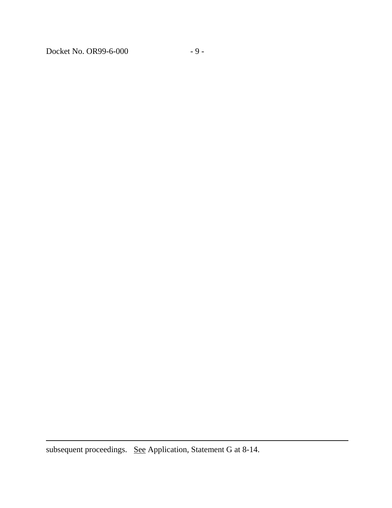Docket No. OR99-6-000 - 9 -

subsequent proceedings. See Application, Statement G at 8-14.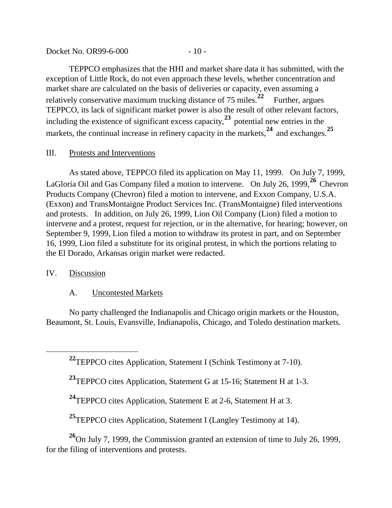Docket No. OR99-6-000 - 10 -

TEPPCO emphasizes that the HHI and market share data it has submitted, with the exception of Little Rock, do not even approach these levels, whether concentration and market share are calculated on the basis of deliveries or capacity, even assuming a relatively conservative maximum trucking distance of 75 miles.<sup>[22](#page-10-0)</sup> Further, argues TEPPCO, its lack of significant market power is also the result of other relevant factors, including the existence of significant excess capacity,**[23](#page-10-1)** potential new entries in the markets, the continual increase in refinery capacity in the markets,<sup>[24](#page-10-2)</sup> and exchanges.<sup>[25](#page-10-3)</sup>

# III. Protests and Interventions

As stated above, TEPPCO filed its application on May 11, 1999. On July 7, 1999, LaGloria Oil and Gas Company filed a motion to intervene. On July 26, 1999,**[26](#page-10-4)** Chevron Products Company (Chevron) filed a motion to intervene, and Exxon Company, U.S.A. (Exxon) and TransMontaigne Product Services Inc. (TransMontaigne) filed interventions and protests. In addition, on July 26, 1999, Lion Oil Company (Lion) filed a motion to intervene and a protest, request for rejection, or in the alternative, for hearing; however, on September 9, 1999, Lion filed a motion to withdraw its protest in part, and on September 16, 1999, Lion filed a substitute for its original protest, in which the portions relating to the El Dorado, Arkansas origin market were redacted.

### IV. Discussion

<span id="page-10-1"></span><span id="page-10-0"></span> $\overline{a}$ 

# A. Uncontested Markets

No party challenged the Indianapolis and Chicago origin markets or the Houston, Beaumont, St. Louis, Evansville, Indianapolis, Chicago, and Toledo destination markets.

**<sup>22</sup>**TEPPCO cites Application, Statement I (Schink Testimony at 7-10).

**<sup>23</sup>**TEPPCO cites Application, Statement G at 15-16; Statement H at 1-3.

**<sup>24</sup>**TEPPCO cites Application, Statement E at 2-6, Statement H at 3.

<sup>25</sup>TEPPCO cites Application, Statement I (Langley Testimony at 14).

<span id="page-10-4"></span><span id="page-10-3"></span><span id="page-10-2"></span>**<sup>26</sup>**On July 7, 1999, the Commission granted an extension of time to July 26, 1999, for the filing of interventions and protests.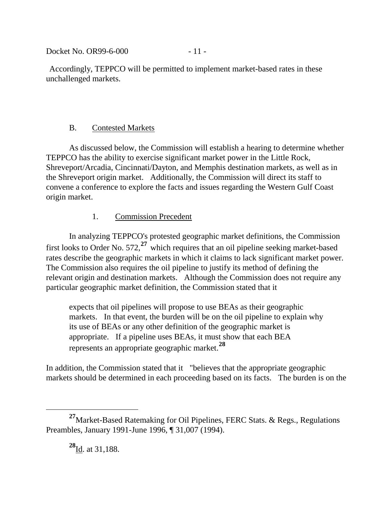Docket No. 0R99-6-000 - 11 -

Accordingly, TEPPCO will be permitted to implement market-based rates in these unchallenged markets.

# B. Contested Markets

As discussed below, the Commission will establish a hearing to determine whether TEPPCO has the ability to exercise significant market power in the Little Rock, Shreveport/Arcadia, Cincinnati/Dayton, and Memphis destination markets, as well as in the Shreveport origin market. Additionally, the Commission will direct its staff to convene a conference to explore the facts and issues regarding the Western Gulf Coast origin market.

# 1. Commission Precedent

In analyzing TEPPCO's protested geographic market definitions, the Commission first looks to Order No. 572,**[27](#page-11-0)** which requires that an oil pipeline seeking market-based rates describe the geographic markets in which it claims to lack significant market power. The Commission also requires the oil pipeline to justify its method of defining the relevant origin and destination markets. Although the Commission does not require any particular geographic market definition, the Commission stated that it

expects that oil pipelines will propose to use BEAs as their geographic markets. In that event, the burden will be on the oil pipeline to explain why its use of BEAs or any other definition of the geographic market is appropriate. If a pipeline uses BEAs, it must show that each BEA represents an appropriate geographic market.**[28](#page-11-1)**

In addition, the Commission stated that it "believes that the appropriate geographic markets should be determined in each proceeding based on its facts. The burden is on the

<span id="page-11-1"></span><span id="page-11-0"></span>**<sup>27</sup>**Market-Based Ratemaking for Oil Pipelines, FERC Stats. & Regs., Regulations Preambles, January 1991-June 1996, ¶ 31,007 (1994).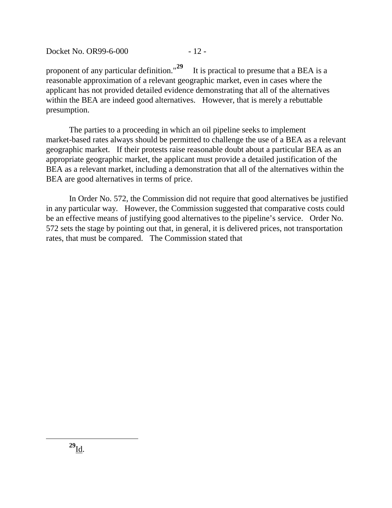Docket No. 0R99-6-000 - 12 -

proponent of any particular definition."**[29](#page-12-0)** It is practical to presume that a BEA is a reasonable approximation of a relevant geographic market, even in cases where the applicant has not provided detailed evidence demonstrating that all of the alternatives within the BEA are indeed good alternatives. However, that is merely a rebuttable presumption.

The parties to a proceeding in which an oil pipeline seeks to implement market-based rates always should be permitted to challenge the use of a BEA as a relevant geographic market. If their protests raise reasonable doubt about a particular BEA as an appropriate geographic market, the applicant must provide a detailed justification of the BEA as a relevant market, including a demonstration that all of the alternatives within the BEA are good alternatives in terms of price.

<span id="page-12-0"></span>In Order No. 572, the Commission did not require that good alternatives be justified in any particular way. However, the Commission suggested that comparative costs could be an effective means of justifying good alternatives to the pipeline's service. Order No. 572 sets the stage by pointing out that, in general, it is delivered prices, not transportation rates, that must be compared. The Commission stated that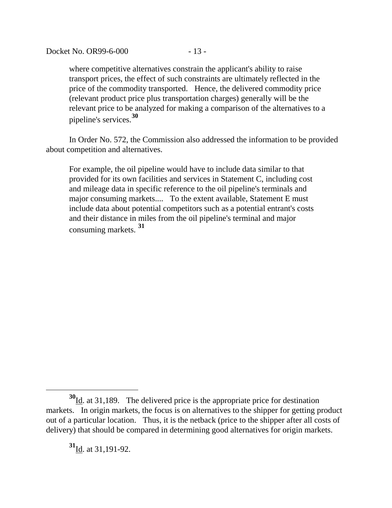where competitive alternatives constrain the applicant's ability to raise transport prices, the effect of such constraints are ultimately reflected in the price of the commodity transported. Hence, the delivered commodity price (relevant product price plus transportation charges) generally will be the relevant price to be analyzed for making a comparison of the alternatives to a pipeline's services.**[30](#page-13-0)**

In Order No. 572, the Commission also addressed the information to be provided about competition and alternatives.

For example, the oil pipeline would have to include data similar to that provided for its own facilities and services in Statement C, including cost and mileage data in specific reference to the oil pipeline's terminals and major consuming markets.... To the extent available, Statement E must include data about potential competitors such as a potential entrant's costs and their distance in miles from the oil pipeline's terminal and major consuming markets. **[31](#page-13-1)**

**<sup>31</sup>**Id. at 31,191-92.

<span id="page-13-1"></span><span id="page-13-0"></span>**<sup>30</sup>**Id. at 31,189. The delivered price is the appropriate price for destination markets. In origin markets, the focus is on alternatives to the shipper for getting product out of a particular location. Thus, it is the netback (price to the shipper after all costs of delivery) that should be compared in determining good alternatives for origin markets.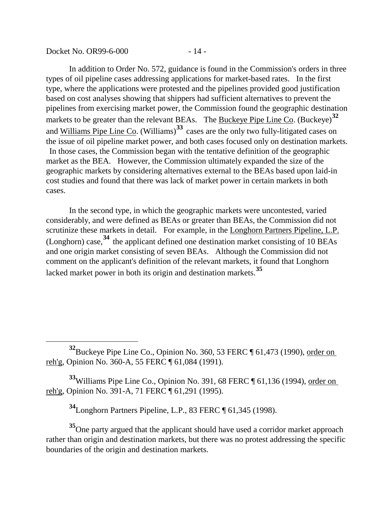Docket No. OR99-6-000 - 14 -

 $\overline{a}$ 

In addition to Order No. 572, guidance is found in the Commission's orders in three types of oil pipeline cases addressing applications for market-based rates. In the first type, where the applications were protested and the pipelines provided good justification based on cost analyses showing that shippers had sufficient alternatives to prevent the pipelines from exercising market power, the Commission found the geographic destination markets to be greater than the relevant BEAs. The **Buckeye Pipe Line Co.** (Buckeye)<sup>[32](#page-14-0)</sup> and Williams Pipe Line Co. (Williams)**[33](#page-14-1)** cases are the only two fully-litigated cases on the issue of oil pipeline market power, and both cases focused only on destination markets. In those cases, the Commission began with the tentative definition of the geographic market as the BEA. However, the Commission ultimately expanded the size of the geographic markets by considering alternatives external to the BEAs based upon laid-in cost studies and found that there was lack of market power in certain markets in both cases.

In the second type, in which the geographic markets were uncontested, varied considerably, and were defined as BEAs or greater than BEAs, the Commission did not scrutinize these markets in detail. For example, in the Longhorn Partners Pipeline, L.P. (Longhorn) case,**[34](#page-14-2)** the applicant defined one destination market consisting of 10 BEAs and one origin market consisting of seven BEAs. Although the Commission did not comment on the applicant's definition of the relevant markets, it found that Longhorn lacked market power in both its origin and destination markets.**[35](#page-14-3)**

<span id="page-14-1"></span>**<sup>33</sup>**Williams Pipe Line Co., Opinion No. 391, 68 FERC ¶ 61,136 (1994), order on reh'g, Opinion No. 391-A, 71 FERC ¶ 61,291 (1995).

**<sup>34</sup>**Longhorn Partners Pipeline, L.P., 83 FERC ¶ 61,345 (1998).

<span id="page-14-3"></span><span id="page-14-2"></span>**<sup>35</sup>**One party argued that the applicant should have used a corridor market approach rather than origin and destination markets, but there was no protest addressing the specific boundaries of the origin and destination markets.

<span id="page-14-0"></span>**<sup>32</sup>**Buckeye Pipe Line Co., Opinion No. 360, 53 FERC ¶ 61,473 (1990), order on reh'g, Opinion No. 360-A, 55 FERC ¶ 61,084 (1991).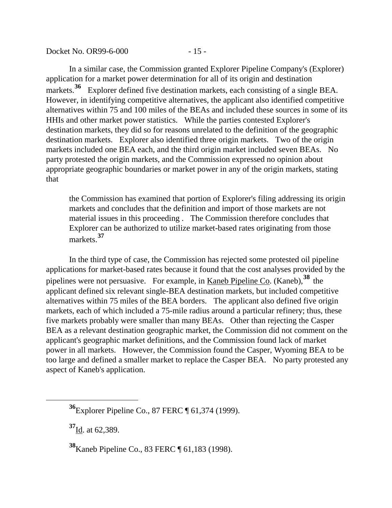Docket No. OR99-6-000 - 15 -

In a similar case, the Commission granted Explorer Pipeline Company's (Explorer) application for a market power determination for all of its origin and destination markets.<sup>[36](#page-15-0)</sup> Explorer defined five destination markets, each consisting of a single BEA. However, in identifying competitive alternatives, the applicant also identified competitive alternatives within 75 and 100 miles of the BEAs and included these sources in some of its HHIs and other market power statistics. While the parties contested Explorer's destination markets, they did so for reasons unrelated to the definition of the geographic destination markets. Explorer also identified three origin markets. Two of the origin markets included one BEA each, and the third origin market included seven BEAs. No party protested the origin markets, and the Commission expressed no opinion about appropriate geographic boundaries or market power in any of the origin markets, stating that

the Commission has examined that portion of Explorer's filing addressing its origin markets and concludes that the definition and import of those markets are not material issues in this proceeding . The Commission therefore concludes that Explorer can be authorized to utilize market-based rates originating from those markets.**[37](#page-15-1)**

In the third type of case, the Commission has rejected some protested oil pipeline applications for market-based rates because it found that the cost analyses provided by the pipelines were not persuasive. For example, in Kaneb Pipeline Co. (Kaneb),**[38](#page-15-2)** the applicant defined six relevant single-BEA destination markets, but included competitive alternatives within 75 miles of the BEA borders. The applicant also defined five origin markets, each of which included a 75-mile radius around a particular refinery; thus, these five markets probably were smaller than many BEAs. Other than rejecting the Casper BEA as a relevant destination geographic market, the Commission did not comment on the applicant's geographic market definitions, and the Commission found lack of market power in all markets. However, the Commission found the Casper, Wyoming BEA to be too large and defined a smaller market to replace the Casper BEA. No party protested any aspect of Kaneb's application.

**<sup>37</sup>**Id. at 62,389.

<span id="page-15-2"></span><span id="page-15-1"></span><span id="page-15-0"></span> $\overline{a}$ 

**<sup>38</sup>**Kaneb Pipeline Co., 83 FERC ¶ 61,183 (1998).

**<sup>36</sup>**Explorer Pipeline Co., 87 FERC ¶ 61,374 (1999).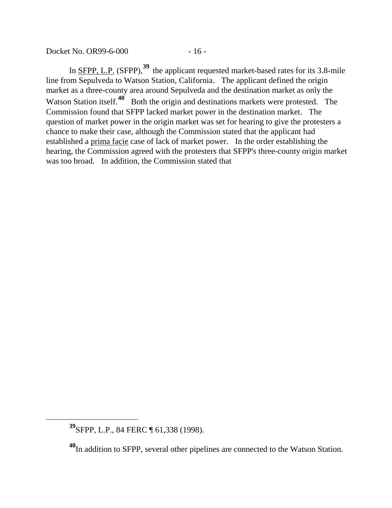Docket No. OR99-6-000 - 16 -

In <u>SFPP, L.P.</u> (SFPP),<sup>[39](#page-16-0)</sup> the applicant requested market-based rates for its 3.8-mile line from Sepulveda to Watson Station, California. The applicant defined the origin market as a three-county area around Sepulveda and the destination market as only the Watson Station itself.<sup>[40](#page-16-1)</sup> Both the origin and destinations markets were protested. The Commission found that SFPP lacked market power in the destination market. The question of market power in the origin market was set for hearing to give the protesters a chance to make their case, although the Commission stated that the applicant had established a prima facie case of lack of market power. In the order establishing the hearing, the Commission agreed with the protesters that SFPP's three-county origin market was too broad. In addition, the Commission stated that

<span id="page-16-0"></span>**<sup>39</sup>**SFPP, L.P., 84 FERC ¶ 61,338 (1998).

<span id="page-16-1"></span>**<sup>40</sup>**In addition to SFPP, several other pipelines are connected to the Watson Station.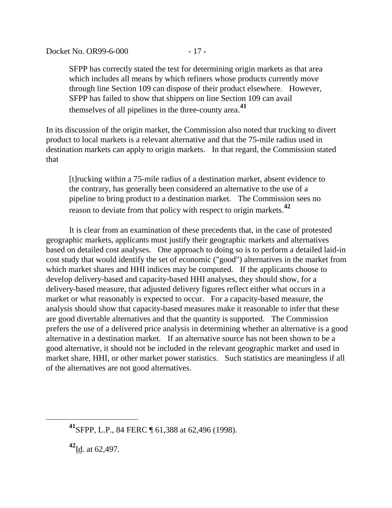SFPP has correctly stated the test for determining origin markets as that area which includes all means by which refiners whose products currently move through line Section 109 can dispose of their product elsewhere. However, SFPP has failed to show that shippers on line Section 109 can avail themselves of all pipelines in the three-county area.**[41](#page-17-0)**

In its discussion of the origin market, the Commission also noted that trucking to divert product to local markets is a relevant alternative and that the 75-mile radius used in destination markets can apply to origin markets. In that regard, the Commission stated that

[t]rucking within a 75-mile radius of a destination market, absent evidence to the contrary, has generally been considered an alternative to the use of a pipeline to bring product to a destination market. The Commission sees no reason to deviate from that policy with respect to origin markets.**[42](#page-17-1)**

It is clear from an examination of these precedents that, in the case of protested geographic markets, applicants must justify their geographic markets and alternatives based on detailed cost analyses. One approach to doing so is to perform a detailed laid-in cost study that would identify the set of economic ("good") alternatives in the market from which market shares and HHI indices may be computed. If the applicants choose to develop delivery-based and capacity-based HHI analyses, they should show, for a delivery-based measure, that adjusted delivery figures reflect either what occurs in a market or what reasonably is expected to occur. For a capacity-based measure, the analysis should show that capacity-based measures make it reasonable to infer that these are good divertable alternatives and that the quantity is supported. The Commission prefers the use of a delivered price analysis in determining whether an alternative is a good alternative in a destination market. If an alternative source has not been shown to be a good alternative, it should not be included in the relevant geographic market and used in market share, HHI, or other market power statistics. Such statistics are meaningless if all of the alternatives are not good alternatives.

<span id="page-17-0"></span>**<sup>41</sup>**SFPP, L.P., 84 FERC ¶ 61,388 at 62,496 (1998).

<span id="page-17-1"></span>**<sup>42</sup>**Id. at 62,497.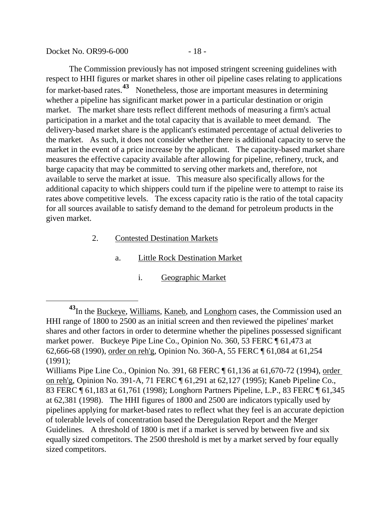| Docket No. OR99-6-000 | $-18-$ |
|-----------------------|--------|
|-----------------------|--------|

The Commission previously has not imposed stringent screening guidelines with respect to HHI figures or market shares in other oil pipeline cases relating to applications for market-based rates.**[43](#page-18-0)** Nonetheless, those are important measures in determining whether a pipeline has significant market power in a particular destination or origin market. The market share tests reflect different methods of measuring a firm's actual participation in a market and the total capacity that is available to meet demand. The delivery-based market share is the applicant's estimated percentage of actual deliveries to the market. As such, it does not consider whether there is additional capacity to serve the market in the event of a price increase by the applicant. The capacity-based market share measures the effective capacity available after allowing for pipeline, refinery, truck, and barge capacity that may be committed to serving other markets and, therefore, not available to serve the market at issue. This measure also specifically allows for the additional capacity to which shippers could turn if the pipeline were to attempt to raise its rates above competitive levels. The excess capacity ratio is the ratio of the total capacity for all sources available to satisfy demand to the demand for petroleum products in the given market.

### 2. Contested Destination Markets

- a. Little Rock Destination Market
	- i. Geographic Market

<span id="page-18-0"></span><sup>&</sup>lt;sup>43</sup>In the Buckeye, Williams, Kaneb, and Longhorn cases, the Commission used an HHI range of 1800 to 2500 as an initial screen and then reviewed the pipelines' market shares and other factors in order to determine whether the pipelines possessed significant market power. Buckeye Pipe Line Co., Opinion No. 360, 53 FERC ¶ 61,473 at 62,666-68 (1990), order on reh'g, Opinion No. 360-A, 55 FERC ¶ 61,084 at 61,254 (1991);

Williams Pipe Line Co., Opinion No. 391, 68 FERC ¶ 61,136 at 61,670-72 (1994), order on reh'g, Opinion No. 391-A, 71 FERC ¶ 61,291 at 62,127 (1995); Kaneb Pipeline Co., 83 FERC ¶ 61,183 at 61,761 (1998); Longhorn Partners Pipeline, L.P., 83 FERC ¶ 61,345 at 62,381 (1998). The HHI figures of 1800 and 2500 are indicators typically used by pipelines applying for market-based rates to reflect what they feel is an accurate depiction of tolerable levels of concentration based the Deregulation Report and the Merger Guidelines. A threshold of 1800 is met if a market is served by between five and six equally sized competitors. The 2500 threshold is met by a market served by four equally sized competitors.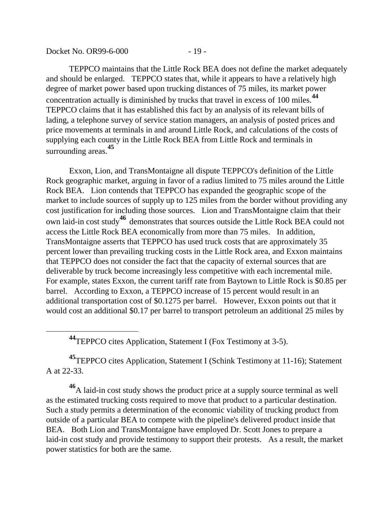| Docket No. OR99-6-000 | $-19-$ |
|-----------------------|--------|
|-----------------------|--------|

TEPPCO maintains that the Little Rock BEA does not define the market adequately and should be enlarged. TEPPCO states that, while it appears to have a relatively high degree of market power based upon trucking distances of 75 miles, its market power concentration actually is diminished by trucks that travel in excess of 100 miles.**[44](#page-19-0)** TEPPCO claims that it has established this fact by an analysis of its relevant bills of lading, a telephone survey of service station managers, an analysis of posted prices and price movements at terminals in and around Little Rock, and calculations of the costs of supplying each county in the Little Rock BEA from Little Rock and terminals in surrounding areas.**[45](#page-19-1)**

Exxon, Lion, and TransMontaigne all dispute TEPPCO's definition of the Little Rock geographic market, arguing in favor of a radius limited to 75 miles around the Little Rock BEA. Lion contends that TEPPCO has expanded the geographic scope of the market to include sources of supply up to 125 miles from the border without providing any cost justification for including those sources. Lion and TransMontaigne claim that their own laid-in cost study**[46](#page-19-2)** demonstrates that sources outside the Little Rock BEA could not access the Little Rock BEA economically from more than 75 miles. In addition, TransMontaigne asserts that TEPPCO has used truck costs that are approximately 35 percent lower than prevailing trucking costs in the Little Rock area, and Exxon maintains that TEPPCO does not consider the fact that the capacity of external sources that are deliverable by truck become increasingly less competitive with each incremental mile. For example, states Exxon, the current tariff rate from Baytown to Little Rock is \$0.85 per barrel. According to Exxon, a TEPPCO increase of 15 percent would result in an additional transportation cost of \$0.1275 per barrel. However, Exxon points out that it would cost an additional \$0.17 per barrel to transport petroleum an additional 25 miles by

**<sup>44</sup>**TEPPCO cites Application, Statement I (Fox Testimony at 3-5).

<span id="page-19-0"></span> $\overline{a}$ 

<span id="page-19-1"></span>**<sup>45</sup>**TEPPCO cites Application, Statement I (Schink Testimony at 11-16); Statement A at 22-33.

<span id="page-19-2"></span>**<sup>46</sup>**A laid-in cost study shows the product price at a supply source terminal as well as the estimated trucking costs required to move that product to a particular destination. Such a study permits a determination of the economic viability of trucking product from outside of a particular BEA to compete with the pipeline's delivered product inside that BEA. Both Lion and TransMontaigne have employed Dr. Scott Jones to prepare a laid-in cost study and provide testimony to support their protests. As a result, the market power statistics for both are the same.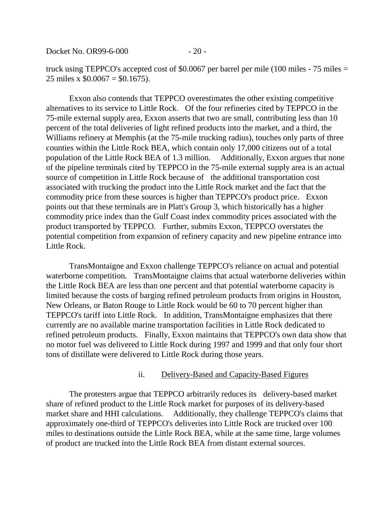Docket No. OR99-6-000 - 20 -

truck using TEPPCO's accepted cost of \$0.0067 per barrel per mile (100 miles - 75 miles = 25 miles x  $$0.0067 = $0.1675$ .

Exxon also contends that TEPPCO overestimates the other existing competitive alternatives to its service to Little Rock. Of the four refineries cited by TEPPCO in the 75-mile external supply area, Exxon asserts that two are small, contributing less than 10 percent of the total deliveries of light refined products into the market, and a third, the Williams refinery at Memphis (at the 75-mile trucking radius), touches only parts of three counties within the Little Rock BEA, which contain only 17,000 citizens out of a total population of the Little Rock BEA of 1.3 million. Additionally, Exxon argues that none of the pipeline terminals cited by TEPPCO in the 75-mile external supply area is an actual source of competition in Little Rock because of the additional transportation cost associated with trucking the product into the Little Rock market and the fact that the commodity price from these sources is higher than TEPPCO's product price. Exxon points out that these terminals are in Platt's Group 3, which historically has a higher commodity price index than the Gulf Coast index commodity prices associated with the product transported by TEPPCO. Further, submits Exxon, TEPPCO overstates the potential competition from expansion of refinery capacity and new pipeline entrance into Little Rock.

TransMontaigne and Exxon challenge TEPPCO's reliance on actual and potential waterborne competition. TransMontaigne claims that actual waterborne deliveries within the Little Rock BEA are less than one percent and that potential waterborne capacity is limited because the costs of barging refined petroleum products from origins in Houston, New Orleans, or Baton Rouge to Little Rock would be 60 to 70 percent higher than TEPPCO's tariff into Little Rock. In addition, TransMontaigne emphasizes that there currently are no available marine transportation facilities in Little Rock dedicated to refined petroleum products. Finally, Exxon maintains that TEPPCO's own data show that no motor fuel was delivered to Little Rock during 1997 and 1999 and that only four short tons of distillate were delivered to Little Rock during those years.

#### ii. Delivery-Based and Capacity-Based Figures

The protesters argue that TEPPCO arbitrarily reduces its delivery-based market share of refined product to the Little Rock market for purposes of its delivery-based market share and HHI calculations. Additionally, they challenge TEPPCO's claims that approximately one-third of TEPPCO's deliveries into Little Rock are trucked over 100 miles to destinations outside the Little Rock BEA, while at the same time, large volumes of product are trucked into the Little Rock BEA from distant external sources.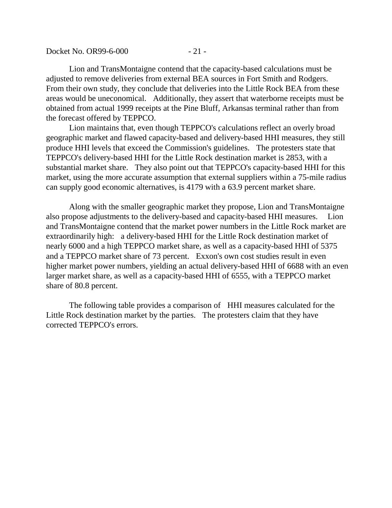| Docket No. OR99-6-000 | $-21-$ |
|-----------------------|--------|
|-----------------------|--------|

Lion and TransMontaigne contend that the capacity-based calculations must be adjusted to remove deliveries from external BEA sources in Fort Smith and Rodgers. From their own study, they conclude that deliveries into the Little Rock BEA from these areas would be uneconomical. Additionally, they assert that waterborne receipts must be obtained from actual 1999 receipts at the Pine Bluff, Arkansas terminal rather than from the forecast offered by TEPPCO.

Lion maintains that, even though TEPPCO's calculations reflect an overly broad geographic market and flawed capacity-based and delivery-based HHI measures, they still produce HHI levels that exceed the Commission's guidelines. The protesters state that TEPPCO's delivery-based HHI for the Little Rock destination market is 2853, with a substantial market share. They also point out that TEPPCO's capacity-based HHI for this market, using the more accurate assumption that external suppliers within a 75-mile radius can supply good economic alternatives, is 4179 with a 63.9 percent market share.

Along with the smaller geographic market they propose, Lion and TransMontaigne also propose adjustments to the delivery-based and capacity-based HHI measures. Lion and TransMontaigne contend that the market power numbers in the Little Rock market are extraordinarily high: a delivery-based HHI for the Little Rock destination market of nearly 6000 and a high TEPPCO market share, as well as a capacity-based HHI of 5375 and a TEPPCO market share of 73 percent. Exxon's own cost studies result in even higher market power numbers, yielding an actual delivery-based HHI of 6688 with an even larger market share, as well as a capacity-based HHI of 6555, with a TEPPCO market share of 80.8 percent.

The following table provides a comparison of HHI measures calculated for the Little Rock destination market by the parties. The protesters claim that they have corrected TEPPCO's errors.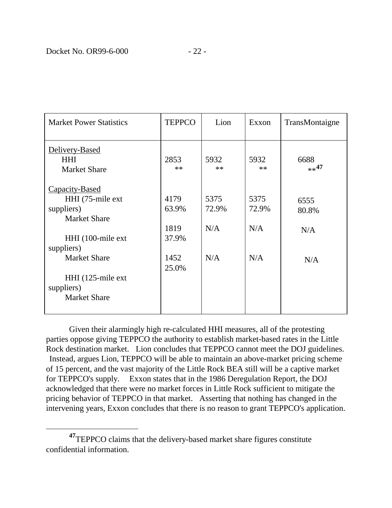$\overline{a}$ 

| <b>Market Power Statistics</b>                                           | <b>TEPPCO</b> | Lion          | Exxon         | TransMontaigne  |
|--------------------------------------------------------------------------|---------------|---------------|---------------|-----------------|
| Delivery-Based<br><b>HHI</b><br><b>Market Share</b>                      | 2853<br>$***$ | 5932<br>$**$  | 5932<br>$**$  | 6688<br>$**$ 47 |
| Capacity-Based<br>HHI (75-mile ext)<br>suppliers)<br><b>Market Share</b> | 4179<br>63.9% | 5375<br>72.9% | 5375<br>72.9% | 6555<br>80.8%   |
| HHI (100-mile ext)                                                       | 1819<br>37.9% | N/A           | N/A           | N/A             |
| suppliers)                                                               |               |               |               |                 |
| <b>Market Share</b>                                                      | 1452<br>25.0% | N/A           | N/A           | N/A             |
| HHI (125-mile ext)<br>suppliers)<br><b>Market Share</b>                  |               |               |               |                 |

Given their alarmingly high re-calculated HHI measures, all of the protesting parties oppose giving TEPPCO the authority to establish market-based rates in the Little Rock destination market. Lion concludes that TEPPCO cannot meet the DOJ guidelines. Instead, argues Lion, TEPPCO will be able to maintain an above-market pricing scheme of 15 percent, and the vast majority of the Little Rock BEA still will be a captive market for TEPPCO's supply. Exxon states that in the 1986 Deregulation Report, the DOJ acknowledged that there were no market forces in Little Rock sufficient to mitigate the pricing behavior of TEPPCO in that market. Asserting that nothing has changed in the intervening years, Exxon concludes that there is no reason to grant TEPPCO's application.

<span id="page-22-0"></span><sup>&</sup>lt;sup>47</sup>TEPPCO claims that the delivery-based market share figures constitute confidential information.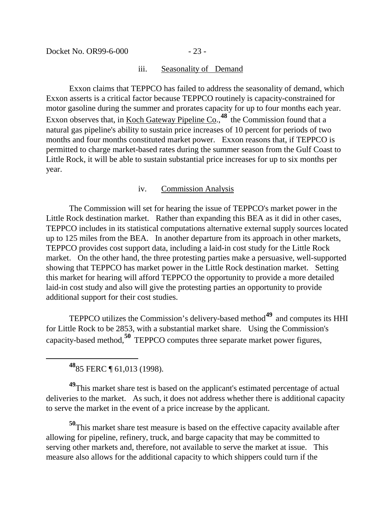#### iii. Seasonality of Demand

Exxon claims that TEPPCO has failed to address the seasonality of demand, which Exxon asserts is a critical factor because TEPPCO routinely is capacity-constrained for motor gasoline during the summer and prorates capacity for up to four months each year. Exxon observes that, in Koch Gateway Pipeline Co.,<sup>[48](#page-23-0)</sup> the Commission found that a natural gas pipeline's ability to sustain price increases of 10 percent for periods of two months and four months constituted market power. Exxon reasons that, if TEPPCO is permitted to charge market-based rates during the summer season from the Gulf Coast to Little Rock, it will be able to sustain substantial price increases for up to six months per year.

### iv. Commission Analysis

The Commission will set for hearing the issue of TEPPCO's market power in the Little Rock destination market. Rather than expanding this BEA as it did in other cases, TEPPCO includes in its statistical computations alternative external supply sources located up to 125 miles from the BEA. In another departure from its approach in other markets, TEPPCO provides cost support data, including a laid-in cost study for the Little Rock market. On the other hand, the three protesting parties make a persuasive, well-supported showing that TEPPCO has market power in the Little Rock destination market. Setting this market for hearing will afford TEPPCO the opportunity to provide a more detailed laid-in cost study and also will give the protesting parties an opportunity to provide additional support for their cost studies.

TEPPCO utilizes the Commission's delivery-based method**[49](#page-23-1)** and computes its HHI for Little Rock to be 2853, with a substantial market share. Using the Commission's capacity-based method,**[50](#page-23-2)** TEPPCO computes three separate market power figures,

**<sup>48</sup>**85 FERC ¶ 61,013 (1998).

<span id="page-23-0"></span> $\overline{a}$ 

<span id="page-23-1"></span><sup>49</sup>This market share test is based on the applicant's estimated percentage of actual deliveries to the market. As such, it does not address whether there is additional capacity to serve the market in the event of a price increase by the applicant.

<span id="page-23-2"></span>**<sup>50</sup>**This market share test measure is based on the effective capacity available after allowing for pipeline, refinery, truck, and barge capacity that may be committed to serving other markets and, therefore, not available to serve the market at issue. This measure also allows for the additional capacity to which shippers could turn if the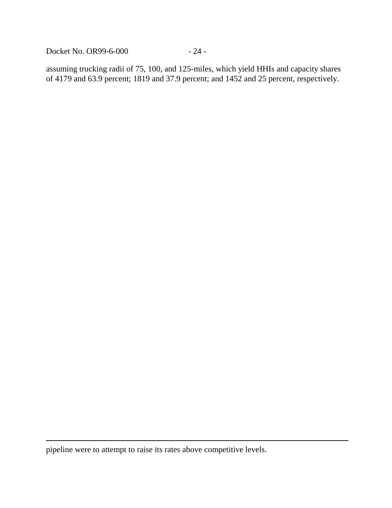Docket No. OR99-6-000 - 24 -

assuming trucking radii of 75, 100, and 125-miles, which yield HHIs and capacity shares of 4179 and 63.9 percent; 1819 and 37.9 percent; and 1452 and 25 percent, respectively.

pipeline were to attempt to raise its rates above competitive levels.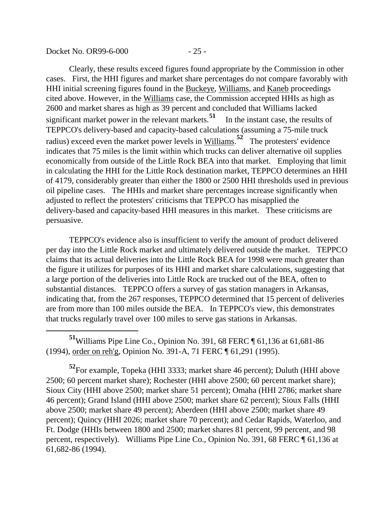Docket No. OR99-6-000 - 25 -

 $\overline{a}$ 

Clearly, these results exceed figures found appropriate by the Commission in other cases. First, the HHI figures and market share percentages do not compare favorably with HHI initial screening figures found in the Buckeye, Williams, and Kaneb proceedings cited above. However, in the Williams case, the Commission accepted HHIs as high as 2600 and market shares as high as 39 percent and concluded that Williams lacked significant market power in the relevant markets.<sup>[51](#page-25-0)</sup> In the instant case, the results of TEPPCO's delivery-based and capacity-based calculations (assuming a 75-mile truck radius) exceed even the market power levels in Williams. **[52](#page-25-1)** The protesters' evidence indicates that 75 miles is the limit within which trucks can deliver alternative oil supplies economically from outside of the Little Rock BEA into that market. Employing that limit in calculating the HHI for the Little Rock destination market, TEPPCO determines an HHI of 4179, considerably greater than either the 1800 or 2500 HHI thresholds used in previous oil pipeline cases. The HHIs and market share percentages increase significantly when adjusted to reflect the protesters' criticisms that TEPPCO has misapplied the delivery-based and capacity-based HHI measures in this market. These criticisms are persuasive.

TEPPCO's evidence also is insufficient to verify the amount of product delivered per day into the Little Rock market and ultimately delivered outside the market. TEPPCO claims that its actual deliveries into the Little Rock BEA for 1998 were much greater than the figure it utilizes for purposes of its HHI and market share calculations, suggesting that a large portion of the deliveries into Little Rock are trucked out of the BEA, often to substantial distances. TEPPCO offers a survey of gas station managers in Arkansas, indicating that, from the 267 responses, TEPPCO determined that 15 percent of deliveries are from more than 100 miles outside the BEA. In TEPPCO's view, this demonstrates that trucks regularly travel over 100 miles to serve gas stations in Arkansas.

<span id="page-25-0"></span>**<sup>51</sup>**Williams Pipe Line Co., Opinion No. 391, 68 FERC ¶ 61,136 at 61,681-86 (1994), order on reh'g, Opinion No. 391-A, 71 FERC ¶ 61,291 (1995).

<span id="page-25-1"></span>**<sup>52</sup>**For example, Topeka (HHI 3333; market share 46 percent); Duluth (HHI above 2500; 60 percent market share); Rochester (HHI above 2500; 60 percent market share); Sioux City (HHI above 2500; market share 51 percent); Omaha (HHI 2786; market share 46 percent); Grand Island (HHI above 2500; market share 62 percent); Sioux Falls (HHI above 2500; market share 49 percent); Aberdeen (HHI above 2500; market share 49 percent); Quincy (HHI 2026; market share 70 percent); and Cedar Rapids, Waterloo, and Ft. Dodge (HHIs between 1800 and 2500; market shares 81 percent, 99 percent, and 98 percent, respectively). Williams Pipe Line Co., Opinion No. 391, 68 FERC ¶ 61,136 at 61,682-86 (1994).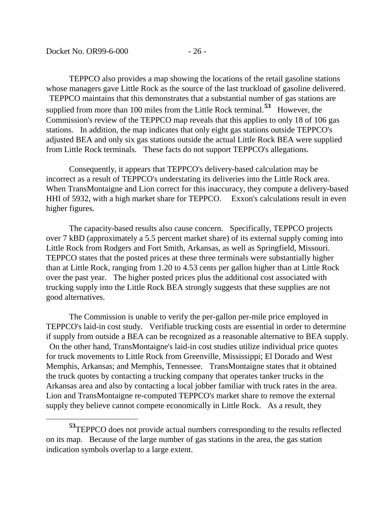$\overline{a}$ 

TEPPCO also provides a map showing the locations of the retail gasoline stations whose managers gave Little Rock as the source of the last truckload of gasoline delivered. TEPPCO maintains that this demonstrates that a substantial number of gas stations are supplied from more than 100 miles from the Little Rock terminal.**[53](#page-26-0)** However, the Commission's review of the TEPPCO map reveals that this applies to only 18 of 106 gas stations. In addition, the map indicates that only eight gas stations outside TEPPCO's adjusted BEA and only six gas stations outside the actual Little Rock BEA were supplied from Little Rock terminals. These facts do not support TEPPCO's allegations.

Consequently, it appears that TEPPCO's delivery-based calculation may be incorrect as a result of TEPPCO's understating its deliveries into the Little Rock area. When TransMontaigne and Lion correct for this inaccuracy, they compute a delivery-based HHI of 5932, with a high market share for TEPPCO. Exxon's calculations result in even higher figures.

The capacity-based results also cause concern. Specifically, TEPPCO projects over 7 kBD (approximately a 5.5 percent market share) of its external supply coming into Little Rock from Rodgers and Fort Smith, Arkansas, as well as Springfield, Missouri. TEPPCO states that the posted prices at these three terminals were substantially higher than at Little Rock, ranging from 1.20 to 4.53 cents per gallon higher than at Little Rock over the past year. The higher posted prices plus the additional cost associated with trucking supply into the Little Rock BEA strongly suggests that these supplies are not good alternatives.

The Commission is unable to verify the per-gallon per-mile price employed in TEPPCO's laid-in cost study. Verifiable trucking costs are essential in order to determine if supply from outside a BEA can be recognized as a reasonable alternative to BEA supply. On the other hand, TransMontaigne's laid-in cost studies utilize individual price quotes for truck movements to Little Rock from Greenville, Mississippi; El Dorado and West Memphis, Arkansas; and Memphis, Tennessee. TransMontaigne states that it obtained the truck quotes by contacting a trucking company that operates tanker trucks in the Arkansas area and also by contacting a local jobber familiar with truck rates in the area. Lion and TransMontaigne re-computed TEPPCO's market share to remove the external supply they believe cannot compete economically in Little Rock. As a result, they

<span id="page-26-0"></span>**<sup>53</sup>**TEPPCO does not provide actual numbers corresponding to the results reflected on its map. Because of the large number of gas stations in the area, the gas station indication symbols overlap to a large extent.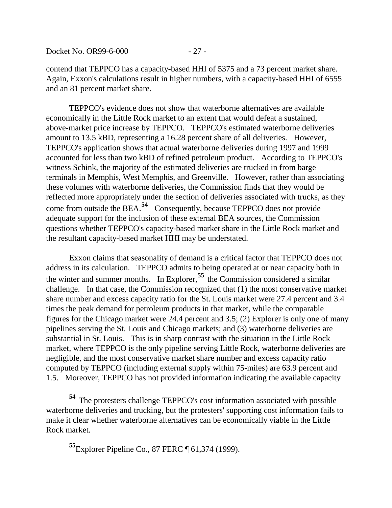contend that TEPPCO has a capacity-based HHI of 5375 and a 73 percent market share. Again, Exxon's calculations result in higher numbers, with a capacity-based HHI of 6555 and an 81 percent market share.

TEPPCO's evidence does not show that waterborne alternatives are available economically in the Little Rock market to an extent that would defeat a sustained, above-market price increase by TEPPCO. TEPPCO's estimated waterborne deliveries amount to 13.5 kBD, representing a 16.28 percent share of all deliveries. However, TEPPCO's application shows that actual waterborne deliveries during 1997 and 1999 accounted for less than two kBD of refined petroleum product. According to TEPPCO's witness Schink, the majority of the estimated deliveries are trucked in from barge terminals in Memphis, West Memphis, and Greenville. However, rather than associating these volumes with waterborne deliveries, the Commission finds that they would be reflected more appropriately under the section of deliveries associated with trucks, as they come from outside the BEA.**[54](#page-27-0)** Consequently, because TEPPCO does not provide adequate support for the inclusion of these external BEA sources, the Commission questions whether TEPPCO's capacity-based market share in the Little Rock market and the resultant capacity-based market HHI may be understated.

Exxon claims that seasonality of demand is a critical factor that TEPPCO does not address in its calculation. TEPPCO admits to being operated at or near capacity both in the winter and summer months. In  $\frac{Explore}{exp}$ ,<sup>[55](#page-27-1)</sup> the Commission considered a similar challenge. In that case, the Commission recognized that (1) the most conservative market share number and excess capacity ratio for the St. Louis market were 27.4 percent and 3.4 times the peak demand for petroleum products in that market, while the comparable figures for the Chicago market were 24.4 percent and 3.5; (2) Explorer is only one of many pipelines serving the St. Louis and Chicago markets; and (3) waterborne deliveries are substantial in St. Louis. This is in sharp contrast with the situation in the Little Rock market, where TEPPCO is the only pipeline serving Little Rock, waterborne deliveries are negligible, and the most conservative market share number and excess capacity ratio computed by TEPPCO (including external supply within 75-miles) are 63.9 percent and 1.5. Moreover, TEPPCO has not provided information indicating the available capacity

<span id="page-27-1"></span><span id="page-27-0"></span>**<sup>54</sup>** The protesters challenge TEPPCO's cost information associated with possible waterborne deliveries and trucking, but the protesters' supporting cost information fails to make it clear whether waterborne alternatives can be economically viable in the Little Rock market.

**<sup>55</sup>**Explorer Pipeline Co., 87 FERC ¶ 61,374 (1999).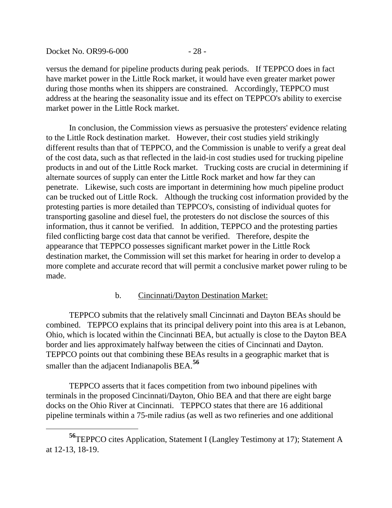Docket No. OR99-6-000 - 28 -

versus the demand for pipeline products during peak periods. If TEPPCO does in fact have market power in the Little Rock market, it would have even greater market power during those months when its shippers are constrained. Accordingly, TEPPCO must address at the hearing the seasonality issue and its effect on TEPPCO's ability to exercise market power in the Little Rock market.

In conclusion, the Commission views as persuasive the protesters' evidence relating to the Little Rock destination market. However, their cost studies yield strikingly different results than that of TEPPCO, and the Commission is unable to verify a great deal of the cost data, such as that reflected in the laid-in cost studies used for trucking pipeline products in and out of the Little Rock market. Trucking costs are crucial in determining if alternate sources of supply can enter the Little Rock market and how far they can penetrate. Likewise, such costs are important in determining how much pipeline product can be trucked out of Little Rock. Although the trucking cost information provided by the protesting parties is more detailed than TEPPCO's, consisting of individual quotes for transporting gasoline and diesel fuel, the protesters do not disclose the sources of this information, thus it cannot be verified. In addition, TEPPCO and the protesting parties filed conflicting barge cost data that cannot be verified. Therefore, despite the appearance that TEPPCO possesses significant market power in the Little Rock destination market, the Commission will set this market for hearing in order to develop a more complete and accurate record that will permit a conclusive market power ruling to be made.

### b. Cincinnati/Dayton Destination Market:

TEPPCO submits that the relatively small Cincinnati and Dayton BEAs should be combined. TEPPCO explains that its principal delivery point into this area is at Lebanon, Ohio, which is located within the Cincinnati BEA, but actually is close to the Dayton BEA border and lies approximately halfway between the cities of Cincinnati and Dayton. TEPPCO points out that combining these BEAs results in a geographic market that is smaller than the adjacent Indianapolis BEA.**[56](#page-28-0)**

TEPPCO asserts that it faces competition from two inbound pipelines with terminals in the proposed Cincinnati/Dayton, Ohio BEA and that there are eight barge docks on the Ohio River at Cincinnati. TEPPCO states that there are 16 additional pipeline terminals within a 75-mile radius (as well as two refineries and one additional

<span id="page-28-0"></span>**<sup>56</sup>**TEPPCO cites Application, Statement I (Langley Testimony at 17); Statement A at 12-13, 18-19.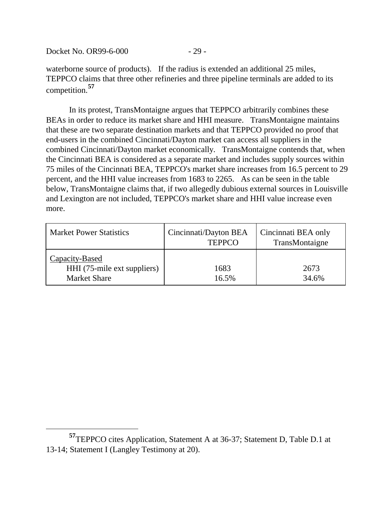Docket No. OR99-6-000 - 29 -

waterborne source of products). If the radius is extended an additional 25 miles, TEPPCO claims that three other refineries and three pipeline terminals are added to its competition.**[57](#page-29-0)**

In its protest, TransMontaigne argues that TEPPCO arbitrarily combines these BEAs in order to reduce its market share and HHI measure. TransMontaigne maintains that these are two separate destination markets and that TEPPCO provided no proof that end-users in the combined Cincinnati/Dayton market can access all suppliers in the combined Cincinnati/Dayton market economically. TransMontaigne contends that, when the Cincinnati BEA is considered as a separate market and includes supply sources within 75 miles of the Cincinnati BEA, TEPPCO's market share increases from 16.5 percent to 29 percent, and the HHI value increases from 1683 to 2265. As can be seen in the table below, TransMontaigne claims that, if two allegedly dubious external sources in Louisville and Lexington are not included, TEPPCO's market share and HHI value increase even more.

| <b>Market Power Statistics</b>                                       | Cincinnati/Dayton BEA<br><b>TEPPCO</b> | Cincinnati BEA only<br>TransMontaigne |
|----------------------------------------------------------------------|----------------------------------------|---------------------------------------|
| Capacity-Based<br>HHI (75-mile ext suppliers)<br><b>Market Share</b> | 1683<br>16.5%                          | 2673<br>34.6%                         |

<span id="page-29-0"></span>**<sup>57</sup>**TEPPCO cites Application, Statement A at 36-37; Statement D, Table D.1 at 13-14; Statement I (Langley Testimony at 20).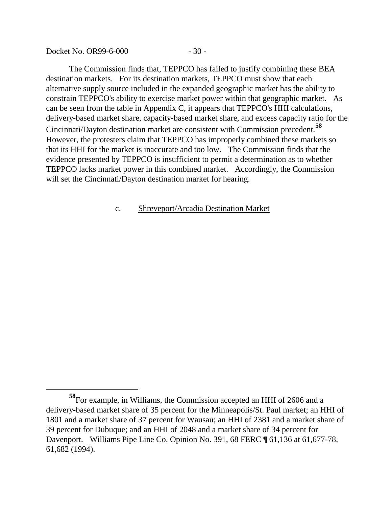Docket No. OR99-6-000 - 30 -

 $\overline{a}$ 

The Commission finds that, TEPPCO has failed to justify combining these BEA destination markets. For its destination markets, TEPPCO must show that each alternative supply source included in the expanded geographic market has the ability to constrain TEPPCO's ability to exercise market power within that geographic market. As can be seen from the table in Appendix C, it appears that TEPPCO's HHI calculations, delivery-based market share, capacity-based market share, and excess capacity ratio for the Cincinnati/Dayton destination market are consistent with Commission precedent.**[58](#page-30-0)** However, the protesters claim that TEPPCO has improperly combined these markets so that its HHI for the market is inaccurate and too low. The Commission finds that the evidence presented by TEPPCO is insufficient to permit a determination as to whether TEPPCO lacks market power in this combined market. Accordingly, the Commission will set the Cincinnati/Dayton destination market for hearing.

### c. Shreveport/Arcadia Destination Market

<span id="page-30-0"></span>**<sup>58</sup>**For example, in Williams, the Commission accepted an HHI of 2606 and a delivery-based market share of 35 percent for the Minneapolis/St. Paul market; an HHI of 1801 and a market share of 37 percent for Wausau; an HHI of 2381 and a market share of 39 percent for Dubuque; and an HHI of 2048 and a market share of 34 percent for Davenport. Williams Pipe Line Co. Opinion No. 391, 68 FERC ¶ 61,136 at 61,677-78, 61,682 (1994).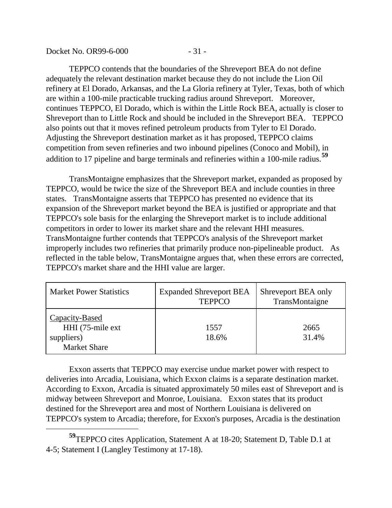#### Docket No. OR99-6-000 - 31 -

TEPPCO contends that the boundaries of the Shreveport BEA do not define adequately the relevant destination market because they do not include the Lion Oil refinery at El Dorado, Arkansas, and the La Gloria refinery at Tyler, Texas, both of which are within a 100-mile practicable trucking radius around Shreveport. Moreover, continues TEPPCO, El Dorado, which is within the Little Rock BEA, actually is closer to Shreveport than to Little Rock and should be included in the Shreveport BEA. TEPPCO also points out that it moves refined petroleum products from Tyler to El Dorado. Adjusting the Shreveport destination market as it has proposed, TEPPCO claims competition from seven refineries and two inbound pipelines (Conoco and Mobil), in addition to 17 pipeline and barge terminals and refineries within a 100-mile radius.**[59](#page-31-0)**

TransMontaigne emphasizes that the Shreveport market, expanded as proposed by TEPPCO, would be twice the size of the Shreveport BEA and include counties in three states. TransMontaigne asserts that TEPPCO has presented no evidence that its expansion of the Shreveport market beyond the BEA is justified or appropriate and that TEPPCO's sole basis for the enlarging the Shreveport market is to include additional competitors in order to lower its market share and the relevant HHI measures. TransMontaigne further contends that TEPPCO's analysis of the Shreveport market improperly includes two refineries that primarily produce non-pipelineable product. As reflected in the table below, TransMontaigne argues that, when these errors are corrected, TEPPCO's market share and the HHI value are larger.

| <b>Market Power Statistics</b>                                           | <b>Expanded Shreveport BEA</b><br><b>TEPPCO</b> | Shreveport BEA only<br>TransMontaigne |
|--------------------------------------------------------------------------|-------------------------------------------------|---------------------------------------|
| Capacity-Based<br>HHI (75-mile ext)<br>suppliers)<br><b>Market Share</b> | 1557<br>18.6%                                   | 2665<br>31.4%                         |

Exxon asserts that TEPPCO may exercise undue market power with respect to deliveries into Arcadia, Louisiana, which Exxon claims is a separate destination market. According to Exxon, Arcadia is situated approximately 50 miles east of Shreveport and is midway between Shreveport and Monroe, Louisiana. Exxon states that its product destined for the Shreveport area and most of Northern Louisiana is delivered on TEPPCO's system to Arcadia; therefore, for Exxon's purposes, Arcadia is the destination

<span id="page-31-0"></span>**<sup>59</sup>**TEPPCO cites Application, Statement A at 18-20; Statement D, Table D.1 at 4-5; Statement I (Langley Testimony at 17-18).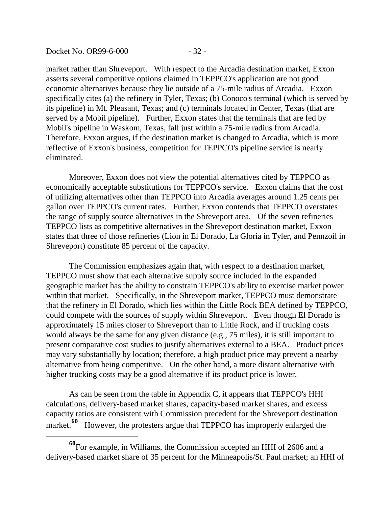market rather than Shreveport. With respect to the Arcadia destination market, Exxon asserts several competitive options claimed in TEPPCO's application are not good economic alternatives because they lie outside of a 75-mile radius of Arcadia. Exxon specifically cites (a) the refinery in Tyler, Texas; (b) Conoco's terminal (which is served by its pipeline) in Mt. Pleasant, Texas; and (c) terminals located in Center, Texas (that are served by a Mobil pipeline). Further, Exxon states that the terminals that are fed by Mobil's pipeline in Waskom, Texas, fall just within a 75-mile radius from Arcadia. Therefore, Exxon argues, if the destination market is changed to Arcadia, which is more reflective of Exxon's business, competition for TEPPCO's pipeline service is nearly eliminated.

Moreover, Exxon does not view the potential alternatives cited by TEPPCO as economically acceptable substitutions for TEPPCO's service. Exxon claims that the cost of utilizing alternatives other than TEPPCO into Arcadia averages around 1.25 cents per gallon over TEPPCO's current rates. Further, Exxon contends that TEPPCO overstates the range of supply source alternatives in the Shreveport area. Of the seven refineries TEPPCO lists as competitive alternatives in the Shreveport destination market, Exxon states that three of those refineries (Lion in El Dorado, La Gloria in Tyler, and Pennzoil in Shreveport) constitute 85 percent of the capacity.

The Commission emphasizes again that, with respect to a destination market, TEPPCO must show that each alternative supply source included in the expanded geographic market has the ability to constrain TEPPCO's ability to exercise market power within that market. Specifically, in the Shreveport market, TEPPCO must demonstrate that the refinery in El Dorado, which lies within the Little Rock BEA defined by TEPPCO, could compete with the sources of supply within Shreveport. Even though El Dorado is approximately 15 miles closer to Shreveport than to Little Rock, and if trucking costs would always be the same for any given distance (e.g., 75 miles), it is still important to present comparative cost studies to justify alternatives external to a BEA. Product prices may vary substantially by location; therefore, a high product price may prevent a nearby alternative from being competitive. On the other hand, a more distant alternative with higher trucking costs may be a good alternative if its product price is lower.

As can be seen from the table in Appendix C, it appears that TEPPCO's HHI calculations, delivery-based market shares, capacity-based market shares, and excess capacity ratios are consistent with Commission precedent for the Shreveport destination market.<sup>[60](#page-32-0)</sup> However, the protesters argue that TEPPCO has improperly enlarged the

<span id="page-32-0"></span>**<sup>60</sup>**For example, in Williams, the Commission accepted an HHI of 2606 and a delivery-based market share of 35 percent for the Minneapolis/St. Paul market; an HHI of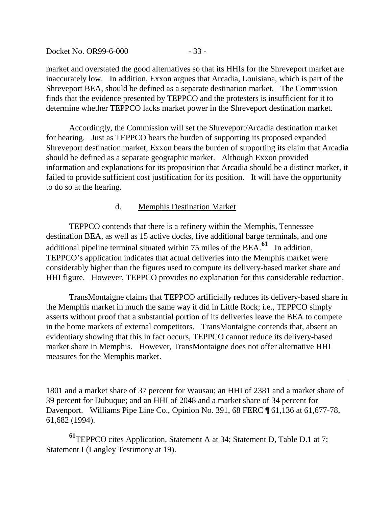Docket No. OR99-6-000 - 33 -

 $\overline{a}$ 

market and overstated the good alternatives so that its HHIs for the Shreveport market are inaccurately low. In addition, Exxon argues that Arcadia, Louisiana, which is part of the Shreveport BEA, should be defined as a separate destination market. The Commission finds that the evidence presented by TEPPCO and the protesters is insufficient for it to determine whether TEPPCO lacks market power in the Shreveport destination market.

Accordingly, the Commission will set the Shreveport/Arcadia destination market for hearing. Just as TEPPCO bears the burden of supporting its proposed expanded Shreveport destination market, Exxon bears the burden of supporting its claim that Arcadia should be defined as a separate geographic market. Although Exxon provided information and explanations for its proposition that Arcadia should be a distinct market, it failed to provide sufficient cost justification for its position. It will have the opportunity to do so at the hearing.

### d. Memphis Destination Market

TEPPCO contends that there is a refinery within the Memphis, Tennessee destination BEA, as well as 15 active docks, five additional barge terminals, and one additional pipeline terminal situated within 75 miles of the BEA.**[61](#page-33-0)** In addition, TEPPCO's application indicates that actual deliveries into the Memphis market were considerably higher than the figures used to compute its delivery-based market share and HHI figure. However, TEPPCO provides no explanation for this considerable reduction.

TransMontaigne claims that TEPPCO artificially reduces its delivery-based share in the Memphis market in much the same way it did in Little Rock; i.e., TEPPCO simply asserts without proof that a substantial portion of its deliveries leave the BEA to compete in the home markets of external competitors. TransMontaigne contends that, absent an evidentiary showing that this in fact occurs, TEPPCO cannot reduce its delivery-based market share in Memphis. However, TransMontaigne does not offer alternative HHI measures for the Memphis market.

1801 and a market share of 37 percent for Wausau; an HHI of 2381 and a market share of 39 percent for Dubuque; and an HHI of 2048 and a market share of 34 percent for Davenport. Williams Pipe Line Co., Opinion No. 391, 68 FERC ¶ 61,136 at 61,677-78, 61,682 (1994).

<span id="page-33-0"></span>**<sup>61</sup>**TEPPCO cites Application, Statement A at 34; Statement D, Table D.1 at 7; Statement I (Langley Testimony at 19).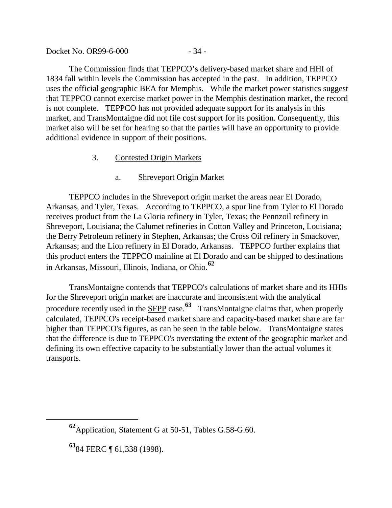Docket No. OR99-6-000 - 34 -

The Commission finds that TEPPCO's delivery-based market share and HHI of 1834 fall within levels the Commission has accepted in the past. In addition, TEPPCO uses the official geographic BEA for Memphis. While the market power statistics suggest that TEPPCO cannot exercise market power in the Memphis destination market, the record is not complete. TEPPCO has not provided adequate support for its analysis in this market, and TransMontaigne did not file cost support for its position. Consequently, this market also will be set for hearing so that the parties will have an opportunity to provide additional evidence in support of their positions.

### 3. Contested Origin Markets

### a. Shreveport Origin Market

TEPPCO includes in the Shreveport origin market the areas near El Dorado, Arkansas, and Tyler, Texas. According to TEPPCO, a spur line from Tyler to El Dorado receives product from the La Gloria refinery in Tyler, Texas; the Pennzoil refinery in Shreveport, Louisiana; the Calumet refineries in Cotton Valley and Princeton, Louisiana; the Berry Petroleum refinery in Stephen, Arkansas; the Cross Oil refinery in Smackover, Arkansas; and the Lion refinery in El Dorado, Arkansas. TEPPCO further explains that this product enters the TEPPCO mainline at El Dorado and can be shipped to destinations in Arkansas, Missouri, Illinois, Indiana, or Ohio.**[62](#page-34-0)**

TransMontaigne contends that TEPPCO's calculations of market share and its HHIs for the Shreveport origin market are inaccurate and inconsistent with the analytical procedure recently used in the **SFPP** case.<sup>[63](#page-34-1)</sup> TransMontaigne claims that, when properly calculated, TEPPCO's receipt-based market share and capacity-based market share are far higher than TEPPCO's figures, as can be seen in the table below. TransMontaigne states that the difference is due to TEPPCO's overstating the extent of the geographic market and defining its own effective capacity to be substantially lower than the actual volumes it transports.

<span id="page-34-0"></span>**<sup>62</sup>**Application, Statement G at 50-51, Tables G.58-G.60.

<span id="page-34-1"></span>**<sup>63</sup>**84 FERC ¶ 61,338 (1998).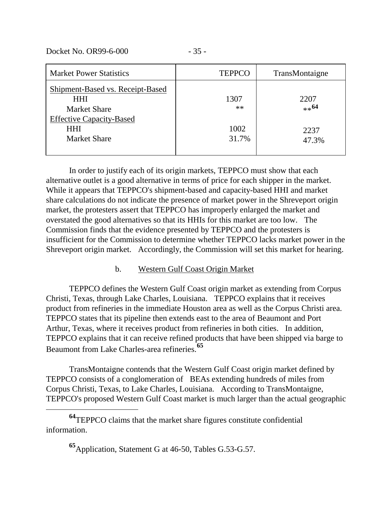Docket No. OR99-6-000 - 35 -

 $\overline{a}$ 

| <b>Market Power Statistics</b>                                       | <b>TEPPCO</b> | TransMontaigne |
|----------------------------------------------------------------------|---------------|----------------|
| Shipment-Based vs. Receipt-Based<br><b>HHI</b>                       | 1307          | 2207           |
| <b>Market Share</b>                                                  | $***$         | $**^{64}$      |
| <b>Effective Capacity-Based</b><br><b>HHI</b><br><b>Market Share</b> | 1002<br>31.7% | 2237<br>47.3%  |

In order to justify each of its origin markets, TEPPCO must show that each alternative outlet is a good alternative in terms of price for each shipper in the market. While it appears that TEPPCO's shipment-based and capacity-based HHI and market share calculations do not indicate the presence of market power in the Shreveport origin market, the protesters assert that TEPPCO has improperly enlarged the market and overstated the good alternatives so that its HHIs for this market are too low. The Commission finds that the evidence presented by TEPPCO and the protesters is insufficient for the Commission to determine whether TEPPCO lacks market power in the Shreveport origin market. Accordingly, the Commission will set this market for hearing.

### b. Western Gulf Coast Origin Market

TEPPCO defines the Western Gulf Coast origin market as extending from Corpus Christi, Texas, through Lake Charles, Louisiana. TEPPCO explains that it receives product from refineries in the immediate Houston area as well as the Corpus Christi area. TEPPCO states that its pipeline then extends east to the area of Beaumont and Port Arthur, Texas, where it receives product from refineries in both cities. In addition, TEPPCO explains that it can receive refined products that have been shipped via barge to Beaumont from Lake Charles-area refineries.**[65](#page-35-1)**

TransMontaigne contends that the Western Gulf Coast origin market defined by TEPPCO consists of a conglomeration of BEAs extending hundreds of miles from Corpus Christi, Texas, to Lake Charles, Louisiana. According to TransMontaigne, TEPPCO's proposed Western Gulf Coast market is much larger than the actual geographic

<span id="page-35-1"></span><span id="page-35-0"></span>**<sup>64</sup>**TEPPCO claims that the market share figures constitute confidential information.

**<sup>65</sup>**Application, Statement G at 46-50, Tables G.53-G.57.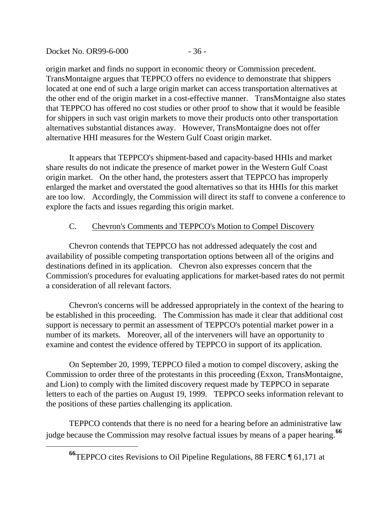Docket No. OR99-6-000 - 36 -

origin market and finds no support in economic theory or Commission precedent. TransMontaigne argues that TEPPCO offers no evidence to demonstrate that shippers located at one end of such a large origin market can access transportation alternatives at the other end of the origin market in a cost-effective manner. TransMontaigne also states that TEPPCO has offered no cost studies or other proof to show that it would be feasible for shippers in such vast origin markets to move their products onto other transportation alternatives substantial distances away. However, TransMontaigne does not offer alternative HHI measures for the Western Gulf Coast origin market.

It appears that TEPPCO's shipment-based and capacity-based HHIs and market share results do not indicate the presence of market power in the Western Gulf Coast origin market. On the other hand, the protesters assert that TEPPCO has improperly enlarged the market and overstated the good alternatives so that its HHIs for this market are too low. Accordingly, the Commission will direct its staff to convene a conference to explore the facts and issues regarding this origin market.

# C. Chevron's Comments and TEPPCO's Motion to Compel Discovery

Chevron contends that TEPPCO has not addressed adequately the cost and availability of possible competing transportation options between all of the origins and destinations defined in its application. Chevron also expresses concern that the Commission's procedures for evaluating applications for market-based rates do not permit a consideration of all relevant factors.

Chevron's concerns will be addressed appropriately in the context of the hearing to be established in this proceeding. The Commission has made it clear that additional cost support is necessary to permit an assessment of TEPPCO's potential market power in a number of its markets. Moreover, all of the interveners will have an opportunity to examine and contest the evidence offered by TEPPCO in support of its application.

On September 20, 1999, TEPPCO filed a motion to compel discovery, asking the Commission to order three of the protestants in this proceeding (Exxon, TransMontaigne, and Lion) to comply with the limited discovery request made by TEPPCO in separate letters to each of the parties on August 19, 1999. TEPPCO seeks information relevant to the positions of these parties challenging its application.

<span id="page-36-0"></span>TEPPCO contends that there is no need for a hearing before an administrative law judge because the Commission may resolve factual issues by means of a paper hearing.**[66](#page-36-0)**

**<sup>66</sup>**TEPPCO cites Revisions to Oil Pipeline Regulations, 88 FERC ¶ 61,171 at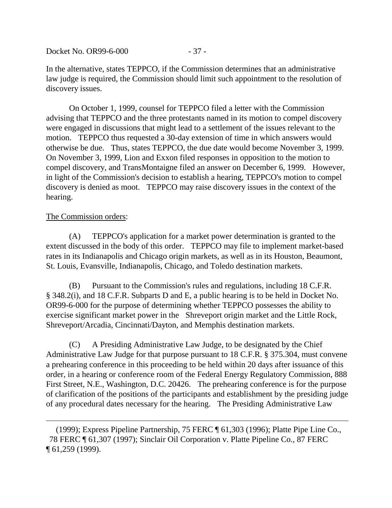Docket No. OR99-6-000 - 37 -

In the alternative, states TEPPCO, if the Commission determines that an administrative law judge is required, the Commission should limit such appointment to the resolution of discovery issues.

On October 1, 1999, counsel for TEPPCO filed a letter with the Commission advising that TEPPCO and the three protestants named in its motion to compel discovery were engaged in discussions that might lead to a settlement of the issues relevant to the motion. TEPPCO thus requested a 30-day extension of time in which answers would otherwise be due. Thus, states TEPPCO, the due date would become November 3, 1999. On November 3, 1999, Lion and Exxon filed responses in opposition to the motion to compel discovery, and TransMontaigne filed an answer on December 6, 1999. However, in light of the Commission's decision to establish a hearing, TEPPCO's motion to compel discovery is denied as moot. TEPPCO may raise discovery issues in the context of the hearing.

### The Commission orders:

 $\overline{a}$ 

(A) TEPPCO's application for a market power determination is granted to the extent discussed in the body of this order. TEPPCO may file to implement market-based rates in its Indianapolis and Chicago origin markets, as well as in its Houston, Beaumont, St. Louis, Evansville, Indianapolis, Chicago, and Toledo destination markets.

(B) Pursuant to the Commission's rules and regulations, including 18 C.F.R. § 348.2(i), and 18 C.F.R. Subparts D and E, a public hearing is to be held in Docket No. OR99-6-000 for the purpose of determining whether TEPPCO possesses the ability to exercise significant market power in the Shreveport origin market and the Little Rock, Shreveport/Arcadia, Cincinnati/Dayton, and Memphis destination markets.

(C) A Presiding Administrative Law Judge, to be designated by the Chief Administrative Law Judge for that purpose pursuant to 18 C.F.R. § 375.304, must convene a prehearing conference in this proceeding to be held within 20 days after issuance of this order, in a hearing or conference room of the Federal Energy Regulatory Commission, 888 First Street, N.E., Washington, D.C. 20426. The prehearing conference is for the purpose of clarification of the positions of the participants and establishment by the presiding judge of any procedural dates necessary for the hearing. The Presiding Administrative Law

 <sup>(1999);</sup> Express Pipeline Partnership, 75 FERC ¶ 61,303 (1996); Platte Pipe Line Co., 78 FERC ¶ 61,307 (1997); Sinclair Oil Corporation v. Platte Pipeline Co., 87 FERC ¶ 61,259 (1999).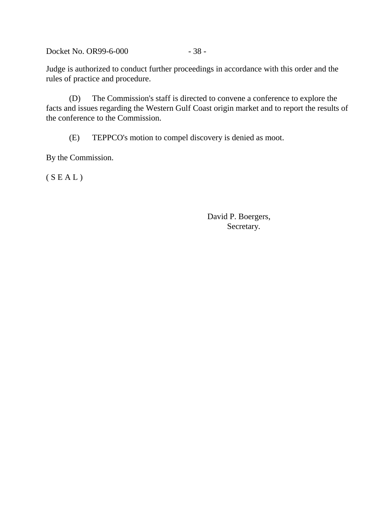Docket No. OR99-6-000 - 38 -

Judge is authorized to conduct further proceedings in accordance with this order and the rules of practice and procedure.

(D) The Commission's staff is directed to convene a conference to explore the facts and issues regarding the Western Gulf Coast origin market and to report the results of the conference to the Commission.

(E) TEPPCO's motion to compel discovery is denied as moot.

By the Commission.

 $(S E A L)$ 

David P. Boergers, Secretary.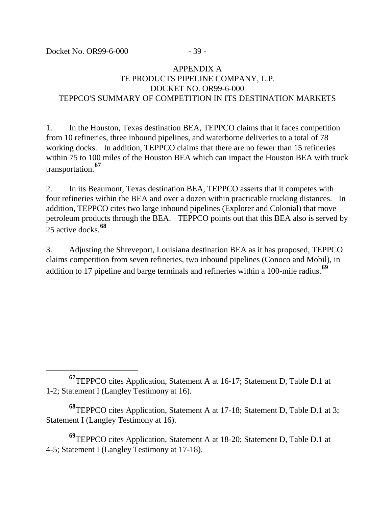$\overline{a}$ 

# APPENDIX A TE PRODUCTS PIPELINE COMPANY, L.P. DOCKET NO. OR99-6-000 TEPPCO'S SUMMARY OF COMPETITION IN ITS DESTINATION MARKETS

1. In the Houston, Texas destination BEA, TEPPCO claims that it faces competition from 10 refineries, three inbound pipelines, and waterborne deliveries to a total of 78 working docks. In addition, TEPPCO claims that there are no fewer than 15 refineries within 75 to 100 miles of the Houston BEA which can impact the Houston BEA with truck transportation.**[67](#page-39-0)**

2. In its Beaumont, Texas destination BEA, TEPPCO asserts that it competes with four refineries within the BEA and over a dozen within practicable trucking distances. In addition, TEPPCO cites two large inbound pipelines (Explorer and Colonial) that move petroleum products through the BEA. TEPPCO points out that this BEA also is served by 25 active docks.**[68](#page-39-1)**

3. Adjusting the Shreveport, Louisiana destination BEA as it has proposed, TEPPCO claims competition from seven refineries, two inbound pipelines (Conoco and Mobil), in addition to 17 pipeline and barge terminals and refineries within a 100-mile radius.**[69](#page-39-2)**

<span id="page-39-2"></span>**<sup>69</sup>**TEPPCO cites Application, Statement A at 18-20; Statement D, Table D.1 at 4-5; Statement I (Langley Testimony at 17-18).

<span id="page-39-0"></span>**<sup>67</sup>**TEPPCO cites Application, Statement A at 16-17; Statement D, Table D.1 at 1-2; Statement I (Langley Testimony at 16).

<span id="page-39-1"></span>**<sup>68</sup>**TEPPCO cites Application, Statement A at 17-18; Statement D, Table D.1 at 3; Statement I (Langley Testimony at 16).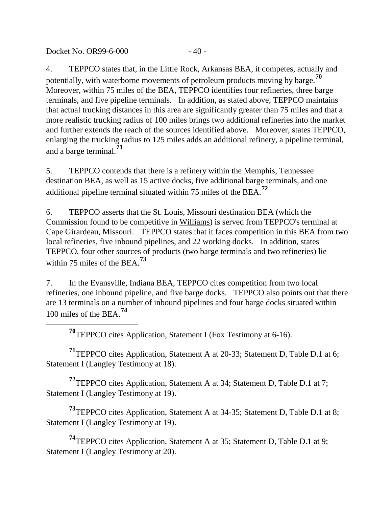Docket No. OR99-6-000 - 40 -

<span id="page-40-0"></span> $\overline{a}$ 

4. TEPPCO states that, in the Little Rock, Arkansas BEA, it competes, actually and potentially, with waterborne movements of petroleum products moving by barge.**[70](#page-40-0)** Moreover, within 75 miles of the BEA, TEPPCO identifies four refineries, three barge terminals, and five pipeline terminals. In addition, as stated above, TEPPCO maintains that actual trucking distances in this area are significantly greater than 75 miles and that a more realistic trucking radius of 100 miles brings two additional refineries into the market and further extends the reach of the sources identified above. Moreover, states TEPPCO, enlarging the trucking radius to 125 miles adds an additional refinery, a pipeline terminal, and a barge terminal.**[71](#page-40-1)**

5. TEPPCO contends that there is a refinery within the Memphis, Tennessee destination BEA, as well as 15 active docks, five additional barge terminals, and one additional pipeline terminal situated within 75 miles of the BEA.**[72](#page-40-2)**

6. TEPPCO asserts that the St. Louis, Missouri destination BEA (which the Commission found to be competitive in Williams) is served from TEPPCO's terminal at Cape Girardeau, Missouri. TEPPCO states that it faces competition in this BEA from two local refineries, five inbound pipelines, and 22 working docks. In addition, states TEPPCO, four other sources of products (two barge terminals and two refineries) lie within 75 miles of the BEA.**[73](#page-40-3)**

7. In the Evansville, Indiana BEA, TEPPCO cites competition from two local refineries, one inbound pipeline, and five barge docks. TEPPCO also points out that there are 13 terminals on a number of inbound pipelines and four barge docks situated within 100 miles of the BEA.**[74](#page-40-4)**

**<sup>70</sup>**TEPPCO cites Application, Statement I (Fox Testimony at 6-16).

<span id="page-40-1"></span>**<sup>71</sup>**TEPPCO cites Application, Statement A at 20-33; Statement D, Table D.1 at 6; Statement I (Langley Testimony at 18).

<span id="page-40-2"></span>**<sup>72</sup>**TEPPCO cites Application, Statement A at 34; Statement D, Table D.1 at 7; Statement I (Langley Testimony at 19).

<span id="page-40-3"></span>**<sup>73</sup>**TEPPCO cites Application, Statement A at 34-35; Statement D, Table D.1 at 8; Statement I (Langley Testimony at 19).

<span id="page-40-4"></span>**<sup>74</sup>**TEPPCO cites Application, Statement A at 35; Statement D, Table D.1 at 9; Statement I (Langley Testimony at 20).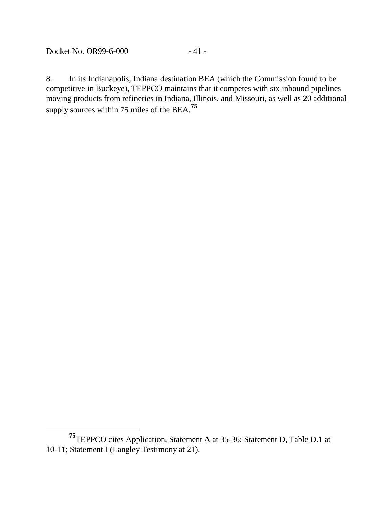Docket No. OR99-6-000 - 41 -

 $\overline{a}$ 

8. In its Indianapolis, Indiana destination BEA (which the Commission found to be competitive in Buckeye), TEPPCO maintains that it competes with six inbound pipelines moving products from refineries in Indiana, Illinois, and Missouri, as well as 20 additional supply sources within 75 miles of the BEA.**[75](#page-41-0)**

<span id="page-41-0"></span>**<sup>75</sup>**TEPPCO cites Application, Statement A at 35-36; Statement D, Table D.1 at 10-11; Statement I (Langley Testimony at 21).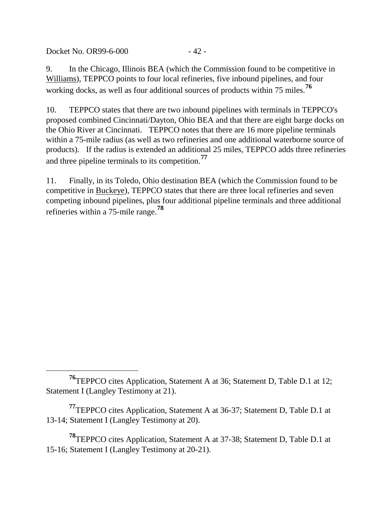Docket No. 0R99-6-000 - 42 -

 $\overline{a}$ 

9. In the Chicago, Illinois BEA (which the Commission found to be competitive in Williams), TEPPCO points to four local refineries, five inbound pipelines, and four working docks, as well as four additional sources of products within 75 miles.**[76](#page-42-0)**

10. TEPPCO states that there are two inbound pipelines with terminals in TEPPCO's proposed combined Cincinnati/Dayton, Ohio BEA and that there are eight barge docks on the Ohio River at Cincinnati. TEPPCO notes that there are 16 more pipeline terminals within a 75-mile radius (as well as two refineries and one additional waterborne source of products). If the radius is extended an additional 25 miles, TEPPCO adds three refineries and three pipeline terminals to its competition.**[77](#page-42-1)**

11. Finally, in its Toledo, Ohio destination BEA (which the Commission found to be competitive in Buckeye), TEPPCO states that there are three local refineries and seven competing inbound pipelines, plus four additional pipeline terminals and three additional refineries within a 75-mile range.**[78](#page-42-2)**

<span id="page-42-2"></span>**<sup>78</sup>**TEPPCO cites Application, Statement A at 37-38; Statement D, Table D.1 at 15-16; Statement I (Langley Testimony at 20-21).

<span id="page-42-0"></span>**<sup>76</sup>**TEPPCO cites Application, Statement A at 36; Statement D, Table D.1 at 12; Statement I (Langley Testimony at 21).

<span id="page-42-1"></span>**<sup>77</sup>**TEPPCO cites Application, Statement A at 36-37; Statement D, Table D.1 at 13-14; Statement I (Langley Testimony at 20).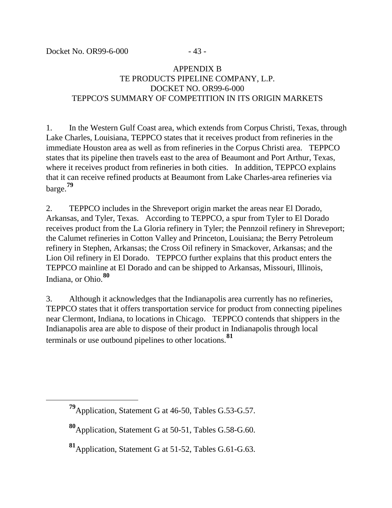<span id="page-43-2"></span><span id="page-43-1"></span><span id="page-43-0"></span> $\overline{a}$ 

# APPENDIX B TE PRODUCTS PIPELINE COMPANY, L.P. DOCKET NO. OR99-6-000 TEPPCO'S SUMMARY OF COMPETITION IN ITS ORIGIN MARKETS

1. In the Western Gulf Coast area, which extends from Corpus Christi, Texas, through Lake Charles, Louisiana, TEPPCO states that it receives product from refineries in the immediate Houston area as well as from refineries in the Corpus Christi area. TEPPCO states that its pipeline then travels east to the area of Beaumont and Port Arthur, Texas, where it receives product from refineries in both cities. In addition, TEPPCO explains that it can receive refined products at Beaumont from Lake Charles-area refineries via barge.**[79](#page-43-0)**

2. TEPPCO includes in the Shreveport origin market the areas near El Dorado, Arkansas, and Tyler, Texas. According to TEPPCO, a spur from Tyler to El Dorado receives product from the La Gloria refinery in Tyler; the Pennzoil refinery in Shreveport; the Calumet refineries in Cotton Valley and Princeton, Louisiana; the Berry Petroleum refinery in Stephen, Arkansas; the Cross Oil refinery in Smackover, Arkansas; and the Lion Oil refinery in El Dorado. TEPPCO further explains that this product enters the TEPPCO mainline at El Dorado and can be shipped to Arkansas, Missouri, Illinois, Indiana, or Ohio.**[80](#page-43-1)**

3. Although it acknowledges that the Indianapolis area currently has no refineries, TEPPCO states that it offers transportation service for product from connecting pipelines near Clermont, Indiana, to locations in Chicago. TEPPCO contends that shippers in the Indianapolis area are able to dispose of their product in Indianapolis through local terminals or use outbound pipelines to other locations.**[81](#page-43-2)**

**<sup>79</sup>**Application, Statement G at 46-50, Tables G.53-G.57.

**<sup>80</sup>**Application, Statement G at 50-51, Tables G.58-G.60.

**<sup>81</sup>**Application, Statement G at 51-52, Tables G.61-G.63.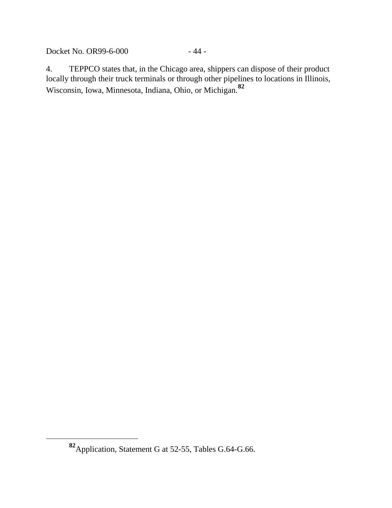Docket No. OR99-6-000 - 44 -

4. TEPPCO states that, in the Chicago area, shippers can dispose of their product locally through their truck terminals or through other pipelines to locations in Illinois, Wisconsin, Iowa, Minnesota, Indiana, Ohio, or Michigan.**[82](#page-44-0)**

<span id="page-44-0"></span>**<sup>82</sup>**Application, Statement G at 52-55, Tables G.64-G.66.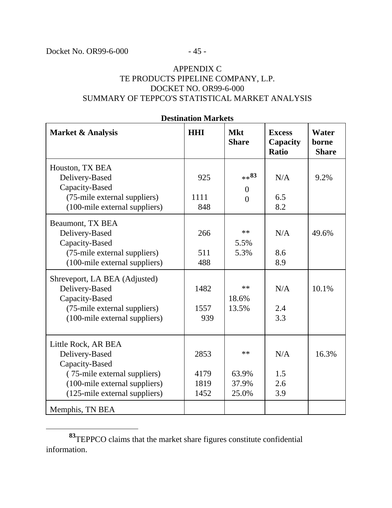$\overline{a}$ 

# APPENDIX C TE PRODUCTS PIPELINE COMPANY, L.P. DOCKET NO. OR99-6-000 SUMMARY OF TEPPCO'S STATISTICAL MARKET ANALYSIS

| <b>HHI</b> | <b>Mkt</b><br><b>Share</b> | <b>Excess</b><br>Capacity<br><b>Ratio</b> | Water<br>borne<br><b>Share</b> |
|------------|----------------------------|-------------------------------------------|--------------------------------|
| 925        | $**$ 83                    | N/A                                       | 9.2%                           |
| 1111       | $\theta$                   | 6.5                                       |                                |
| 848        | $\overline{0}$             | 8.2                                       |                                |
| 266        | $***$                      | N/A                                       | 49.6%                          |
| 511        | 5.5%                       | 8.6                                       |                                |
| 488        | 5.3%                       | 8.9                                       |                                |
| 1482       | $**$                       | N/A                                       | 10.1%                          |
| 1557       | 18.6%                      | 2.4                                       |                                |
| 939        | 13.5%                      | 3.3                                       |                                |
| 2853       | $**$                       | N/A                                       | 16.3%                          |
| 4179       | 63.9%                      | 1.5                                       |                                |
| 1819       | 37.9%                      | 2.6                                       |                                |
| 1452       | 25.0%                      | 3.9                                       |                                |
|            |                            |                                           |                                |

### **Destination Markets**

<span id="page-45-0"></span>**<sup>83</sup>**TEPPCO claims that the market share figures constitute confidential information.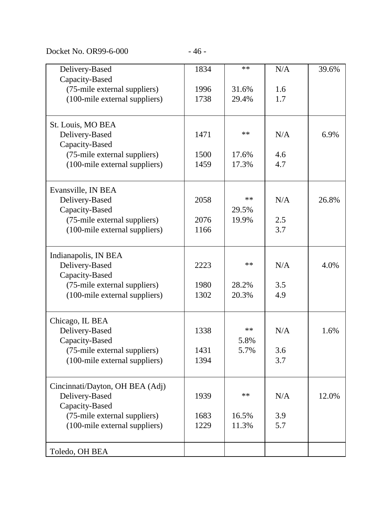Docket No. OR99-6-000 - 46 -

| Delivery-Based                  | 1834 | $**$  | N/A | 39.6% |
|---------------------------------|------|-------|-----|-------|
| Capacity-Based                  |      |       |     |       |
| (75-mile external suppliers)    | 1996 | 31.6% | 1.6 |       |
| (100-mile external suppliers)   | 1738 | 29.4% | 1.7 |       |
|                                 |      |       |     |       |
| St. Louis, MO BEA               |      |       |     |       |
| Delivery-Based                  | 1471 | $**$  | N/A | 6.9%  |
| Capacity-Based                  |      |       |     |       |
| (75-mile external suppliers)    | 1500 | 17.6% | 4.6 |       |
| (100-mile external suppliers)   | 1459 | 17.3% | 4.7 |       |
|                                 |      |       |     |       |
| Evansville, IN BEA              |      |       |     |       |
| Delivery-Based                  | 2058 | $**$  | N/A | 26.8% |
| Capacity-Based                  |      | 29.5% |     |       |
| (75-mile external suppliers)    | 2076 | 19.9% | 2.5 |       |
| (100-mile external suppliers)   | 1166 |       | 3.7 |       |
|                                 |      |       |     |       |
| Indianapolis, IN BEA            |      |       |     |       |
| Delivery-Based                  | 2223 | $**$  | N/A | 4.0%  |
| Capacity-Based                  |      |       |     |       |
| (75-mile external suppliers)    | 1980 | 28.2% | 3.5 |       |
| (100-mile external suppliers)   | 1302 | 20.3% | 4.9 |       |
|                                 |      |       |     |       |
| Chicago, IL BEA                 |      |       |     |       |
| Delivery-Based                  | 1338 | $**$  | N/A | 1.6%  |
| Capacity-Based                  |      | 5.8%  |     |       |
| (75-mile external suppliers)    | 1431 | 5.7%  | 3.6 |       |
| (100-mile external suppliers)   | 1394 |       | 3.7 |       |
|                                 |      |       |     |       |
| Cincinnati/Dayton, OH BEA (Adj) |      |       |     |       |
| Delivery-Based                  | 1939 | $***$ | N/A | 12.0% |
| Capacity-Based                  |      |       |     |       |
| (75-mile external suppliers)    | 1683 | 16.5% | 3.9 |       |
| (100-mile external suppliers)   | 1229 | 11.3% | 5.7 |       |
|                                 |      |       |     |       |
| Toledo, OH BEA                  |      |       |     |       |